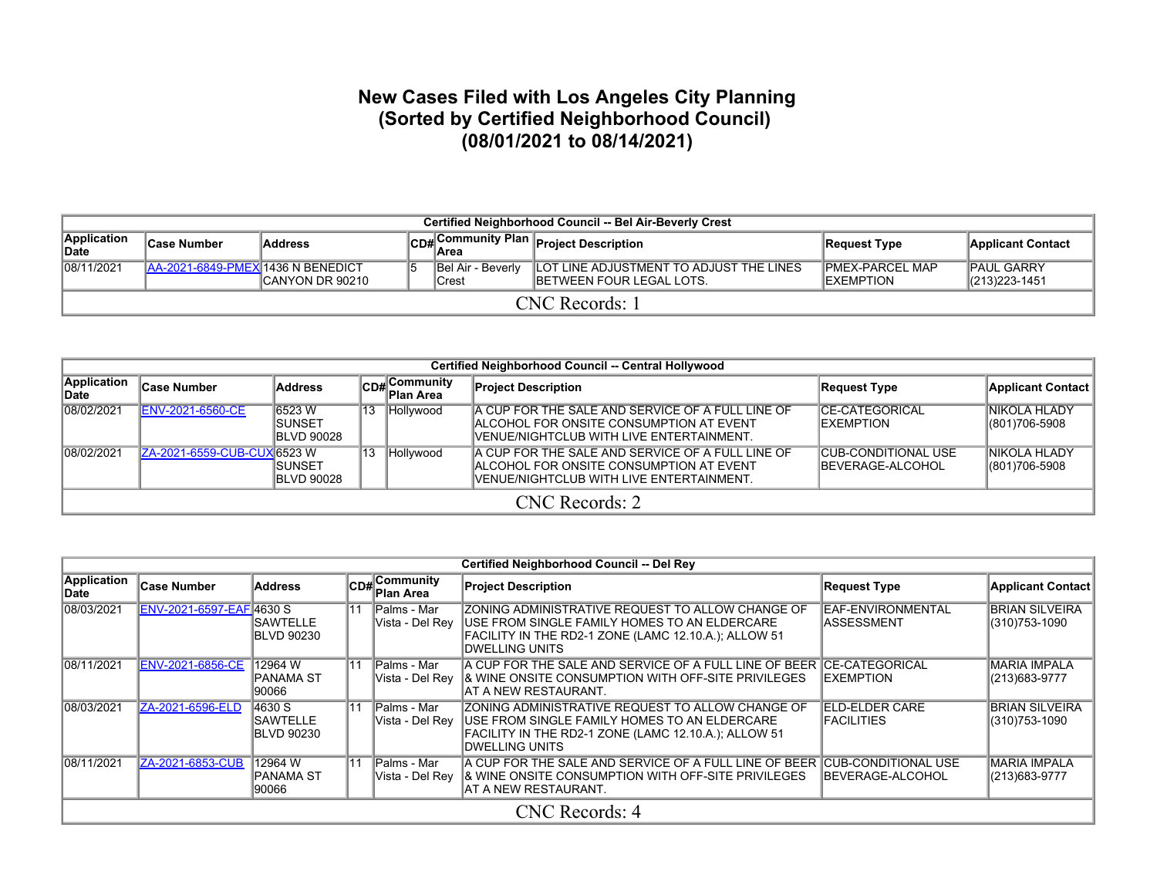## **New Cases Filed with Los Angeles City Planning (Sorted by Certified Neighborhood Council) (08/01/2021 to 08/14/2021)**

|                      | Certified Neighborhood Council -- Bel Air-Beverly Crest |                 |    |                            |                                                                             |                                              |                                        |  |  |  |  |  |  |  |
|----------------------|---------------------------------------------------------|-----------------|----|----------------------------|-----------------------------------------------------------------------------|----------------------------------------------|----------------------------------------|--|--|--|--|--|--|--|
| Application<br>∥Date | <b>Case Number</b>                                      | <b>Address</b>  |    |                            | CD# <sup>Community Plan</sup> Project Description                           | Request Type                                 | Applicant Contact                      |  |  |  |  |  |  |  |
| 08/11/2021           | <b>IAA-2021-6849-PMEXI1436 N BENEDICT</b>               | CANYON DR 90210 | 15 | Bel Air - Beverly<br>Crest | LOT LINE ADJUSTMENT TO ADJUST THE LINES<br><b>IBETWEEN FOUR LEGAL LOTS.</b> | <b>IPMEX-PARCEL MAP</b><br><b>IEXEMPTION</b> | <b>PAUL GARRY</b><br>$\ (213)223-1451$ |  |  |  |  |  |  |  |
| CNC Records: 1       |                                                         |                 |    |                            |                                                                             |                                              |                                        |  |  |  |  |  |  |  |

|                      | Certified Neighborhood Council -- Central Hollywood |                                          |    |                           |                                                                                                                                            |                                                         |                                 |  |  |  |  |  |  |
|----------------------|-----------------------------------------------------|------------------------------------------|----|---------------------------|--------------------------------------------------------------------------------------------------------------------------------------------|---------------------------------------------------------|---------------------------------|--|--|--|--|--|--|
| Application<br>∣Date | Case Number                                         | <b>Address</b>                           |    | CD#Community<br>Plan Area | <b>Project Description</b>                                                                                                                 | Request Type                                            | <b>Applicant Contact</b>        |  |  |  |  |  |  |
| 08/02/2021           | <b>ENV-2021-6560-CE</b>                             | 16523 W<br>ISUNSET<br><b>IBLVD 90028</b> | 13 | Hollywood                 | A CUP FOR THE SALE AND SERVICE OF A FULL LINE OF<br>IALCOHOL FOR ONSITE CONSUMPTION AT EVENT<br>IVENUE/NIGHTCLUB WITH LIVE ENTERTAINMENT.  | <b>ICE-CATEGORICAL</b><br><b>IEXEMPTION</b>             | INIKOLA HLADY<br>(801) 706-5908 |  |  |  |  |  |  |
| 08/02/2021           | IZA-2021-6559-CUB-CUXI6523 W                        | ISUNSET<br><b>BLVD 90028</b>             | 13 | Hollywood                 | IA CUP FOR THE SALE AND SERVICE OF A FULL LINE OF<br>IALCOHOL FOR ONSITE CONSUMPTION AT EVENT<br>IVENUE/NIGHTCLUB WITH LIVE ENTERTAINMENT. | <b>ICUB-CONDITIONAL USE</b><br><b>IBEVERAGE-ALCOHOL</b> | INIKOLA HLADY<br>(801) 706-5908 |  |  |  |  |  |  |
|                      | CNC Records: 2                                      |                                          |    |                           |                                                                                                                                            |                                                         |                                 |  |  |  |  |  |  |

|                      |                          |                                                  |                 |                                 | Certified Neighborhood Council -- Del Rey                                                                                                                                    |                                                        |                                       |  |  |  |  |  |
|----------------------|--------------------------|--------------------------------------------------|-----------------|---------------------------------|------------------------------------------------------------------------------------------------------------------------------------------------------------------------------|--------------------------------------------------------|---------------------------------------|--|--|--|--|--|
| Application<br>∣Date | <b>Case Number</b>       | Address                                          |                 | CD# Community<br>∣Plan Area     | <b>Project Description</b>                                                                                                                                                   | Request Type                                           | <b>Applicant Contact</b>              |  |  |  |  |  |
| 08/03/2021           | ENV-2021-6597-EAF 4630 S | ISAWTELLE<br>BLVD 90230                          | $\overline{11}$ | Palms - Mar<br>Vista - Del Rev  | ZONING ADMINISTRATIVE REQUEST TO ALLOW CHANGE OF<br>USE FROM SINGLE FAMILY HOMES TO AN ELDERCARE<br>FACILITY IN THE RD2-1 ZONE (LAMC 12.10.A.); ALLOW 51<br>DWELLING UNITS   | EAF-ENVIRONMENTAL<br>IASSESSMENT                       | IBRIAN SILVEIRA<br>(310) 753-1090     |  |  |  |  |  |
| 08/11/2021           | <b>ENV-2021-6856-CE</b>  | 12964 W<br>IPANAMA ST<br>90066                   | 11              | lPalms - Mar<br>Vista - Del Rev | A CUP FOR THE SALE AND SERVICE OF A FULL LINE OF BEER ICE-CATEGORICAL<br><b>A WINE ONSITE CONSUMPTION WITH OFF-SITE PRIVILEGES</b><br>IAT A NEW RESTAURANT.                  | <b>IEXEMPTION</b>                                      | <b>MARIA MPALA</b><br>(213) 683-9777  |  |  |  |  |  |
| 08/03/2021           | ZA-2021-6596-ELD         | 14630 S<br><b>SAWTELLE</b><br><b>IBLVD 90230</b> | 11              | lPalms - Mar<br>Vista - Del Rev | IZONING ADMINISTRATIVE REQUEST TO ALLOW CHANGE OF<br>USE FROM SINGLE FAMILY HOMES TO AN ELDERCARE<br>FACILITY IN THE RD2-1 ZONE (LAMC 12.10.A.); ALLOW 51<br>IDWELLING UNITS | IELD-ELDER CARE<br><b>IFACILITIES</b>                  | IBRIAN SILVEIRA<br>(310) 753-1090     |  |  |  |  |  |
| 08/11/2021           | ZA-2021-6853-CUB         | 12964 W<br>IPANAMA ST<br>90066                   | $\overline{11}$ | lPalms - Mar<br>Vista - Del Rev | A CUP FOR THE SALE AND SERVICE OF A FULL LINE OF BEER<br><b>&amp; WINE ONSITE CONSUMPTION WITH OFF-SITE PRIVILEGES</b><br>IAT A NEW RESTAURANT.                              | <b>CUB-CONDITIONAL USE</b><br><b>IBEVERAGE-ALCOHOL</b> | <b>MARIA IMPALA</b><br>(213) 683-9777 |  |  |  |  |  |
|                      | CNC Records: 4           |                                                  |                 |                                 |                                                                                                                                                                              |                                                        |                                       |  |  |  |  |  |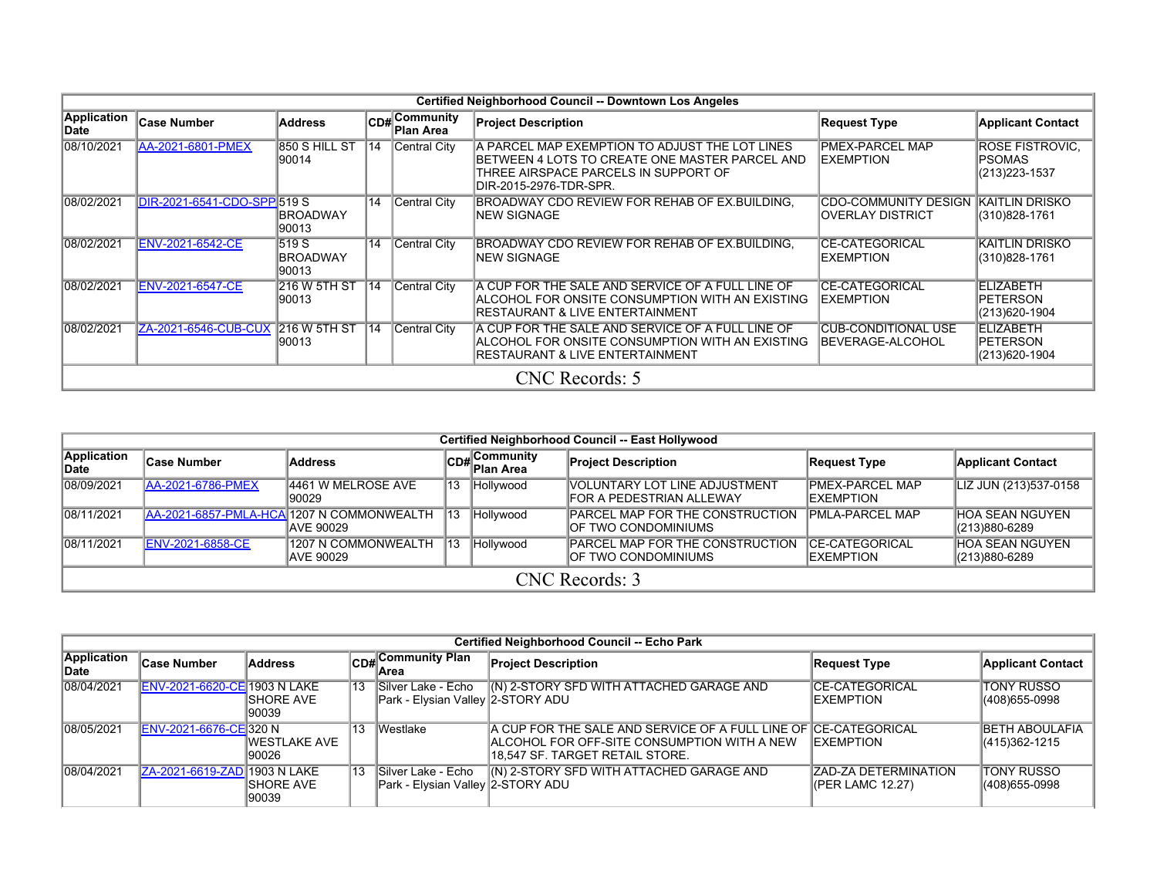|                             | Certified Neighborhood Council -- Downtown Los Angeles |                                    |            |                        |                                                                                                                                                                     |                                                |                                                           |  |  |  |  |  |  |
|-----------------------------|--------------------------------------------------------|------------------------------------|------------|------------------------|---------------------------------------------------------------------------------------------------------------------------------------------------------------------|------------------------------------------------|-----------------------------------------------------------|--|--|--|--|--|--|
| <b>Application</b><br>∣Date | <b>Case Number</b>                                     | <b>Address</b>                     | CD#        | Community<br>Plan Area | <b>Project Description</b>                                                                                                                                          | <b>Request Type</b>                            | <b>Applicant Contact</b>                                  |  |  |  |  |  |  |
| 08/10/2021                  | AA-2021-6801-PMEX                                      | 850 S HILL ST<br>90014             | $\vert$ 14 | Central City           | IA PARCEL MAP EXEMPTION TO ADJUST THE LOT LINES<br>BETWEEN 4 LOTS TO CREATE ONE MASTER PARCEL AND<br>THREE AIRSPACE PARCELS IN SUPPORT OF<br>DIR-2015-2976-TDR-SPR. | <b>PMEX-PARCEL MAP</b><br><b>EXEMPTION</b>     | <b>ROSE FISTROVIC.</b><br><b>PSOMAS</b><br>(213) 223-1537 |  |  |  |  |  |  |
| 08/02/2021                  | DIR-2021-6541-CDO-SPPI519 S                            | <b>IBROADWAY</b><br>90013          | 14         | Central City           | IBROADWAY CDO REVIEW FOR REHAB OF EX.BUILDING.<br><b>INEW SIGNAGE</b>                                                                                               | CDO-COMMUNITY DESIGN<br>OVERLAY DISTRICT       | <b>IKAITLIN DRISKO</b><br>(310)828-1761                   |  |  |  |  |  |  |
| 08/02/2021                  | <b>ENV-2021-6542-CE</b>                                | 519 S<br><b>IBROADWAY</b><br>90013 | 14         | Central City           | BROADWAY CDO REVIEW FOR REHAB OF EX. BUILDING,<br><b>INEW SIGNAGE</b>                                                                                               | <b>CE-CATEGORICAL</b><br><b>EXEMPTION</b>      | <b>KAITLIN DRISKO</b><br>(310)828-1761                    |  |  |  |  |  |  |
| 08/02/2021                  | <b>ENV-2021-6547-CE</b>                                | 216 W 5TH ST<br>90013              | $\vert$ 14 | Central City           | A CUP FOR THE SALE AND SERVICE OF A FULL LINE OF<br>IALCOHOL FOR ONSITE CONSUMPTION WITH AN EXISTING<br>IRESTAURANT & LIVE ENTERTAINMENT                            | <b>CE-CATEGORICAL</b><br>EXEMPTION             | ELIZABETH<br>PETERSON<br>(213)620-1904                    |  |  |  |  |  |  |
| 08/02/2021                  | ZA-2021-6546-CUB-CUX                                   | <b>216 W 5TH ST</b><br>190013      | $\vert$ 14 | Central City           | A CUP FOR THE SALE AND SERVICE OF A FULL LINE OF<br>ALCOHOL FOR ONSITE CONSUMPTION WITH AN EXISTING<br><b>IRESTAURANT &amp; LIVE ENTERTAINMENT</b>                  | <b>CUB-CONDITIONAL USE</b><br>BEVERAGE-ALCOHOL | ELIZABETH<br><b>IPETERSON</b><br>(213)620-1904            |  |  |  |  |  |  |
|                             | CNC Records: 5                                         |                                    |            |                        |                                                                                                                                                                     |                                                |                                                           |  |  |  |  |  |  |

|                      | Certified Neighborhood Council -- East Hollywood |                                                                |                 |                                           |                                                           |                                             |                                         |  |  |  |  |  |  |  |
|----------------------|--------------------------------------------------|----------------------------------------------------------------|-----------------|-------------------------------------------|-----------------------------------------------------------|---------------------------------------------|-----------------------------------------|--|--|--|--|--|--|--|
| Application<br>lDate | <b>Address</b><br>∣Case Number                   |                                                                |                 | <b>Community</b> ،<br><b>CD#Plan Area</b> | <b>Project Description</b>                                | Request Type                                | <b>Applicant Contact</b>                |  |  |  |  |  |  |  |
| 08/09/2021           | AA-2021-6786-PMEX                                | 4461 W MELROSE AVE<br>90029                                    | $\overline{13}$ | Hollywood                                 | VOLUNTARY LOT LINE ADJUSTMENT<br>FOR A PEDESTRIAN ALLEWAY | <b>PMEX-PARCEL MAP</b><br><b>IEXEMPTION</b> | LIZ JUN (213)537-0158                   |  |  |  |  |  |  |  |
| 08/11/2021           |                                                  | AA-2021-6857-PMLA-HCA 1207 N COMMONWEALTH<br><b>JAVE 90029</b> | 113             | Hollywood                                 | PARCEL MAP FOR THE CONSTRUCTION<br>OF TWO CONDOMINIUMS    | <b>PMLA-PARCEL MAP</b>                      | IHOA SEAN NGUYEN<br>(213)880-6289       |  |  |  |  |  |  |  |
| 08/11/2021           | <b>ENV-2021-6858-CE</b>                          | 1207 N COMMONWEALTH<br><b>AVE 90029</b>                        | $\overline{13}$ | Hollywood                                 | PARCEL MAP FOR THE CONSTRUCTION<br>OF TWO CONDOMINIUMS    | <b>ICE-CATEGORICAL</b><br><b>IEXEMPTION</b> | <b>HOA SEAN NGUYEN</b><br>(213)880-6289 |  |  |  |  |  |  |  |
|                      | CNC Records: 3                                   |                                                                |                 |                                           |                                                           |                                             |                                         |  |  |  |  |  |  |  |

|                      | Certified Neighborhood Council -- Echo Park |                            |    |                                                         |                                                                                                                                                      |                                             |                                    |  |  |  |  |  |  |  |
|----------------------|---------------------------------------------|----------------------------|----|---------------------------------------------------------|------------------------------------------------------------------------------------------------------------------------------------------------------|---------------------------------------------|------------------------------------|--|--|--|--|--|--|--|
| Application<br>∥Date | <b>Case Number</b>                          | <b>Address</b>             |    | CD#Community Plan                                       | <b>Project Description</b>                                                                                                                           | Request Type                                | <b>Applicant Contact</b>           |  |  |  |  |  |  |  |
| 08/04/2021           | ENV-2021-6620-CE 1903 N LAKE                | <b>ISHORE AVE</b><br>90039 | 13 | Silver Lake - Echo<br>Park - Elysian Valley 2-STORY ADU | I(N) 2-STORY SFD WITH ATTACHED GARAGE AND                                                                                                            | <b>ICE-CATEGORICAL</b><br><b>IEXEMPTION</b> | <b>TONY RUSSO</b><br>(408)655-0998 |  |  |  |  |  |  |  |
| 08/05/2021           | ENV-2021-6676-CE 320 N                      | IWESTLAKE AVE<br>90026     | 13 | <b>Westlake</b>                                         | IA CUP FOR THE SALE AND SERVICE OF A FULL LINE OF ICE-CATEGORICAL<br>IALCOHOL FOR OFF-SITE CONSUMPTION WITH A NEW<br>18,547 SF. TARGET RETAIL STORE. | <b>IEXEMPTION</b>                           | IBETH ABOULAFIA<br>(415)362-1215   |  |  |  |  |  |  |  |
| 08/04/2021           | ZA-2021-6619-ZAD 1903 N LAKE                | <b>ISHORE AVE</b><br>90039 | 13 | Silver Lake - Echo<br>Park - Elysian Valley 2-STORY ADU | IN) 2-STORY SFD WITH ATTACHED GARAGE AND                                                                                                             | IZAD-ZA DETERMINATION<br>(PER LAMC 12.27)   | <b>TONY RUSSO</b><br>(408)655-0998 |  |  |  |  |  |  |  |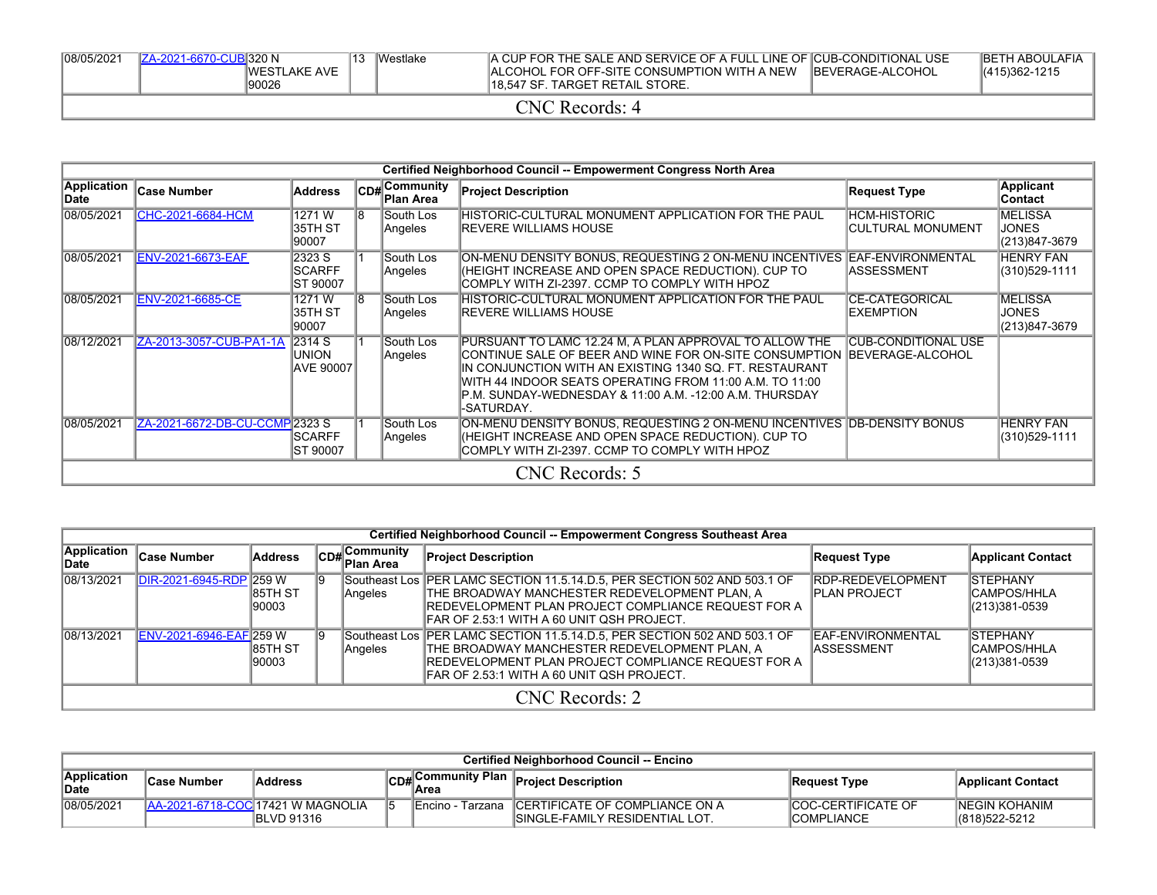| 08/05/2021        | <b>ZA-2021-6670-CUB 320 N</b> |  | <b>Westlake</b> | IA CUP FOR THE SALE AND SERVICE OF A FULL LINE OF CUB-CONDITIONAL USE                                           |  | <b>IBETH ABOULAFIA</b> I |  |  |  |  |  |
|-------------------|-------------------------------|--|-----------------|-----------------------------------------------------------------------------------------------------------------|--|--------------------------|--|--|--|--|--|
|                   | IWESTLAKE AVE<br>90026        |  |                 | <b>IALCOHOL FOR OFF-SITE CONSUMPTION WITH A NEW IBEVERAGE-ALCOHOL</b><br><b>18.547 SF. TARGET RETAIL STORE.</b> |  | $\ (415)362-1215\ $      |  |  |  |  |  |
| $\alpha$ $\alpha$ |                               |  |                 |                                                                                                                 |  |                          |  |  |  |  |  |

## CNC Records: 4

|                     | Certified Neighborhood Council -- Empowerment Congress North Area |                                              |     |                                |                                                                                                                                                                                                                                                                                                                    |                                                        |                                                 |  |  |  |  |  |  |
|---------------------|-------------------------------------------------------------------|----------------------------------------------|-----|--------------------------------|--------------------------------------------------------------------------------------------------------------------------------------------------------------------------------------------------------------------------------------------------------------------------------------------------------------------|--------------------------------------------------------|-------------------------------------------------|--|--|--|--|--|--|
| Application<br>Date | Case Number                                                       | <b>Address</b>                               | CDH | ∣Community<br><b>Plan Area</b> | <b>Project Description</b>                                                                                                                                                                                                                                                                                         | <b>Request Type</b>                                    | <b>Applicant</b><br><b>Contact</b>              |  |  |  |  |  |  |
| 08/05/2021          | CHC-2021-6684-HCM                                                 | 1271 W<br>35TH ST<br>190007                  | l8  | South Los<br>Angeles           | <b>IHISTORIC-CULTURAL MONUMENT APPLICATION FOR THE PAUL</b><br>IREVERE WILLIAMS HOUSE                                                                                                                                                                                                                              | <b>HCM-HISTORIC</b><br>ICULTURAL MONUMENT              | <b>MELISSA</b><br>JONES<br>(213)847-3679        |  |  |  |  |  |  |
| 08/05/2021          | <b>ENV-2021-6673-EAF</b>                                          | 2323 S<br><b>SCARFF</b><br>IST 90007         |     | South Los<br>Angeles           | ON-MENU DENSITY BONUS, REQUESTING 2 ON-MENU INCENTIVES EAF-ENVIRONMENTAL<br>(HEIGHT INCREASE AND OPEN SPACE REDUCTION). CUP TO<br>COMPLY WITH ZI-2397. CCMP TO COMPLY WITH HPOZ                                                                                                                                    | ASSESSMENT                                             | <b>HENRY FAN</b><br>(310)529-1111               |  |  |  |  |  |  |
| 08/05/2021          | ENV-2021-6685-CE                                                  | 1271 W<br>35TH ST<br>90007                   | 18  | South Los<br>Angeles           | HISTORIC-CULTURAL MONUMENT APPLICATION FOR THE PAUL<br><b>IREVERE WILLIAMS HOUSE</b>                                                                                                                                                                                                                               | <b>CE-CATEGORICAL</b><br><b>EXEMPTION</b>              | <b>MELISSA</b><br><b>JONES</b><br>(213)847-3679 |  |  |  |  |  |  |
| 08/12/2021          | ZA-2013-3057-CUB-PA1-1A                                           | <b>2314 S</b><br>iunion<br><b>JAVE 90007</b> |     | South Los<br>Angeles           | PURSUANT TO LAMC 12.24 M, A PLAN APPROVAL TO ALLOW THE<br>ICONTINUE SALE OF BEER AND WINE FOR ON-SITE CONSUMPTION<br>IIN CONJUNCTION WITH AN EXISTING 1340 SQ. FT. RESTAURANT<br>WITH 44 INDOOR SEATS OPERATING FROM 11:00 A.M. TO 11:00<br>IP.M. SUNDAY-WEDNESDAY & 11:00 A.M. -12:00 A.M. THURSDAY<br>-SATURDAY. | <b>CUB-CONDITIONAL USE</b><br><b>IBEVERAGE-ALCOHOL</b> |                                                 |  |  |  |  |  |  |
| 08/05/2021          | ZA-2021-6672-DB-CU-CCMP 2323 S                                    | ISCARFF<br>IST 90007                         |     | South Los<br>Angeles           | ON-MENU DENSITY BONUS, REQUESTING 2 ON-MENU INCENTIVES DB-DENSITY BONUS<br>(HEIGHT INCREASE AND OPEN SPACE REDUCTION). CUP TO<br>COMPLY WITH ZI-2397. CCMP TO COMPLY WITH HPOZ                                                                                                                                     |                                                        | HENRY FAN<br>(310)529-1111                      |  |  |  |  |  |  |
|                     |                                                                   |                                              |     |                                | CNC Records: 5                                                                                                                                                                                                                                                                                                     |                                                        |                                                 |  |  |  |  |  |  |

|                      | <b>Certified Neighborhood Council -- Empowerment Congress Southeast Area</b> |                          |  |                            |                                                                                                                                                                                                                                |                                                   |                                                        |  |  |  |  |  |  |
|----------------------|------------------------------------------------------------------------------|--------------------------|--|----------------------------|--------------------------------------------------------------------------------------------------------------------------------------------------------------------------------------------------------------------------------|---------------------------------------------------|--------------------------------------------------------|--|--|--|--|--|--|
| Application<br>lDate | <b>Case Number</b>                                                           | <b>Address</b>           |  | CD# Community<br>Plan Area | <b>Project Description</b>                                                                                                                                                                                                     | Request Type                                      | <b>Applicant Contact</b>                               |  |  |  |  |  |  |
| 08/13/2021           | DIR-2021-6945-RDP 259 W                                                      | <b>85TH ST</b><br>90003  |  | Angeles                    | Southeast Los PER LAMC SECTION 11.5.14.D.5, PER SECTION 502 AND 503.1 OF<br>THE BROADWAY MANCHESTER REDEVELOPMENT PLAN. A<br>REDEVELOPMENT PLAN PROJECT COMPLIANCE REQUEST FOR A<br>IFAR OF 2.53:1 WITH A 60 UNIT QSH PROJECT. | <b>IRDP-REDEVELOPMENT</b><br><b>IPLAN PROJECT</b> | <b>STEPHANY</b><br>ICAMPOS/HHLA<br>(213)381-0539       |  |  |  |  |  |  |
| 08/13/2021           | ENV-2021-6946-EAF 259 W                                                      | <b>I85TH ST</b><br>90003 |  | Angeles                    | Southeast Los PER LAMC SECTION 11.5.14.D.5, PER SECTION 502 AND 503.1 OF<br>THE BROADWAY MANCHESTER REDEVELOPMENT PLAN. A<br>REDEVELOPMENT PLAN PROJECT COMPLIANCE REQUEST FOR A<br>FAR OF 2.53:1 WITH A 60 UNIT QSH PROJECT.  | <b>IEAF-ENVIRONMENTAL</b><br>ASSESSMENT           | <b>STEPHANY</b><br><b>CAMPOS/HHLA</b><br>(213)381-0539 |  |  |  |  |  |  |
|                      | CNC Records: 2                                                               |                          |  |                            |                                                                                                                                                                                                                                |                                                   |                                                        |  |  |  |  |  |  |

| <b>Certified Neighborhood Council -- Encino</b> |                       |                                        |  |                                |                                                                          |                                                  |                                         |  |  |  |  |
|-------------------------------------------------|-----------------------|----------------------------------------|--|--------------------------------|--------------------------------------------------------------------------|--------------------------------------------------|-----------------------------------------|--|--|--|--|
| Application<br>∣Date                            | <b>Case Number</b>    | <b>Address</b>                         |  | $\overline{\textsf{CDH}}$ Area | Community Plan Project Description                                       | Request Type                                     | <b>Applicant Contact</b>                |  |  |  |  |
| 08/05/2021                                      | <b>AA-2021-6718-C</b> | 17421 W MAGNOLIA<br><b>IBLVD 91316</b> |  | IEncino - Tarzana              | <b>CERTIFICATE OF COMPLIANCE ON A</b><br>ISINGLE-FAMILY RESIDENTIAL LOT. | <b>ICOC-CERTIFICATE OF</b><br><b>ICOMPLIANCE</b> | <b>INEGIN KOHANIM</b><br>(818) 522-5212 |  |  |  |  |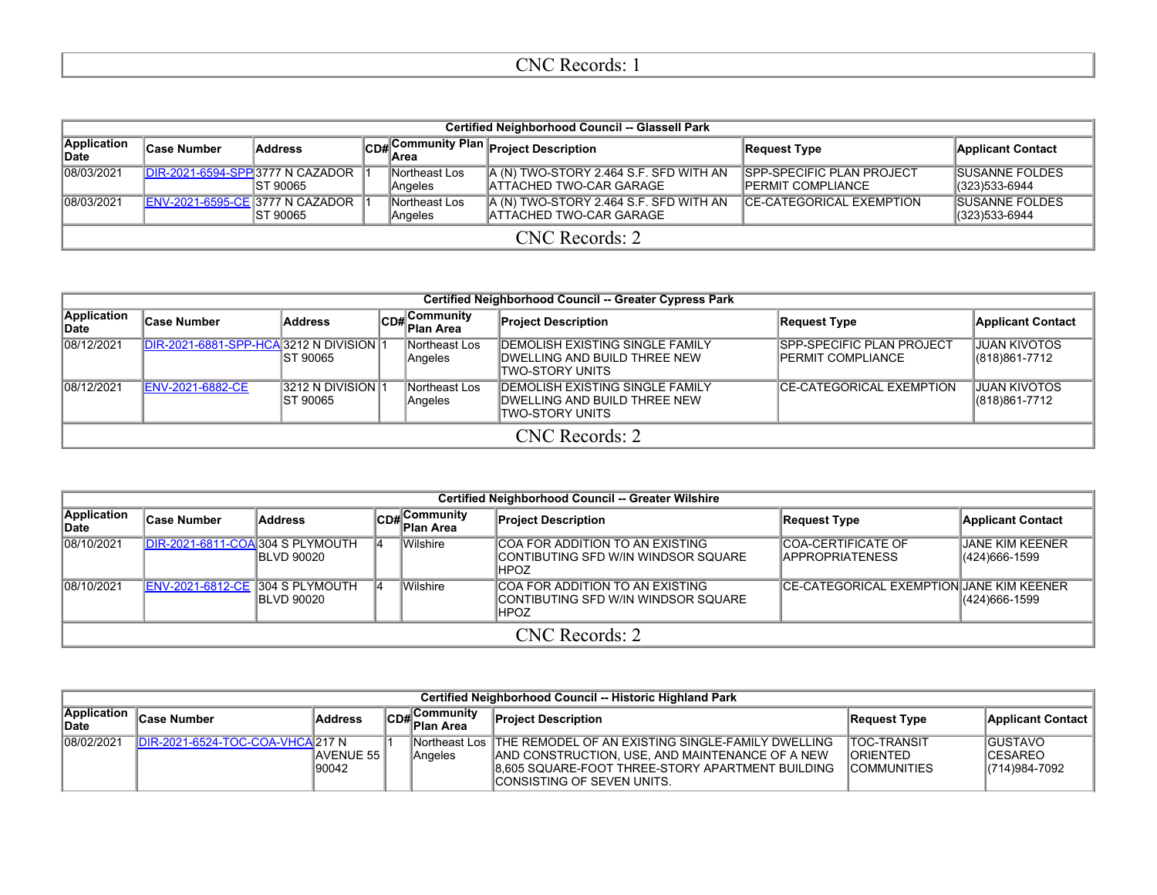|                      | Certified Neighborhood Council -- Glassell Park |                |  |                          |                                                                           |                                                               |                                         |  |  |  |  |  |
|----------------------|-------------------------------------------------|----------------|--|--------------------------|---------------------------------------------------------------------------|---------------------------------------------------------------|-----------------------------------------|--|--|--|--|--|
| Application<br>∣Date | <b>Case Number</b>                              | <b>Address</b> |  |                          | CD# Community Plan Project Description                                    | <b>Request Type</b>                                           | <b>Applicant Contact</b>                |  |  |  |  |  |
| 08/03/2021           | <b>DIR-2021-6594-SPP3777 N CAZADOR</b>          | IST 90065      |  | Northeast Los<br>Angeles | A (N) TWO-STORY 2.464 S.F. SFD WITH AN<br><b>IATTACHED TWO-CAR GARAGE</b> | <b>SPP-SPECIFIC PLAN PROJECT</b><br><b>IPERMIT COMPLIANCE</b> | ISUSANNE FOLDES<br>(323)533-6944        |  |  |  |  |  |
| 08/03/2021           | <b>ENV-2021-6595-CE 3777 N CAZADOR</b>          | IST 90065      |  | Northeast Los<br>Angeles | A (N) TWO-STORY 2.464 S.F. SFD WITH AN<br><b>IATTACHED TWO-CAR GARAGE</b> | <b>ICE-CATEGORICAL EXEMPTION</b>                              | <b>ISUSANNE FOLDES</b><br>(323)533-6944 |  |  |  |  |  |
|                      | CNC Records: 2                                  |                |  |                          |                                                                           |                                                               |                                         |  |  |  |  |  |

|                      | <b>Certified Neighborhood Council -- Greater Cypress Park</b> |                                 |  |                           |                                                                                                    |                                                                |                                       |  |  |  |  |  |
|----------------------|---------------------------------------------------------------|---------------------------------|--|---------------------------|----------------------------------------------------------------------------------------------------|----------------------------------------------------------------|---------------------------------------|--|--|--|--|--|
| Application<br>∣Date | <b>Case Number</b>                                            | Address                         |  | CD#Community<br>Plan Area | <b>Project Description</b>                                                                         | Request Type                                                   | <b>Applicant Contact</b>              |  |  |  |  |  |
| 08/12/2021           | DIR-2021-6881-SPP-HCA 3212 N DIVISION 1                       | IST 90065                       |  | Northeast Los<br>Angeles  | <b>DEMOLISH EXISTING SINGLE FAMILY</b><br><b>IDWELLING AND BUILD THREE NEW</b><br>ITWO-STORY UNITS | <b>ISPP-SPECIFIC PLAN PROJECT</b><br><b>IPERMIT COMPLIANCE</b> | <b>JUAN KIVOTOS</b><br>(818) 861-7712 |  |  |  |  |  |
| 08/12/2021           | <b>ENV-2021-6882-CE</b>                                       | 13212 N DIVISION 1<br>IST 90065 |  | Northeast Los<br>Angeles  | IDEMOLISH EXISTING SINGLE FAMILY<br>IDWELLING AND BUILD THREE NEW<br>ITWO-STORY UNITS              | ICE-CATEGORICAL EXEMPTION                                      | IJUAN KIVOTOS<br>(818) 861-7712       |  |  |  |  |  |
|                      | CNC Records: 2                                                |                                 |  |                           |                                                                                                    |                                                                |                                       |  |  |  |  |  |

|                      | <b>Certified Neighborhood Council -- Greater Wilshire</b> |                    |    |                           |                                                                                        |                                                     |                                         |  |  |  |  |  |
|----------------------|-----------------------------------------------------------|--------------------|----|---------------------------|----------------------------------------------------------------------------------------|-----------------------------------------------------|-----------------------------------------|--|--|--|--|--|
| Application<br>∣Date | <b>Case Number</b>                                        | <b>Address</b>     |    | CD#Community<br>Plan Area | <b>Project Description</b>                                                             | <b>Request Type</b>                                 | <b>Applicant Contact</b>                |  |  |  |  |  |
| 08/10/2021           | DIR-2021-6811-COA 304 S PLYMOUTH                          | <b>IBLVD 90020</b> | 14 | Wilshire                  | <b>COA FOR ADDITION TO AN EXISTING</b><br>CONTIBUTING SFD W/IN WINDSOR SQUARE<br>HPOZ  | <b>COA-CERTIFICATE OF</b><br><b>APPROPRIATENESS</b> | <b>JANE KIM KEENER</b><br>(424)666-1599 |  |  |  |  |  |
| 08/10/2021           | <b>ENV-2021-6812-CE 304 S PLYMOUTH</b>                    | <b>BLVD 90020</b>  | 14 | <b>Wilshire</b>           | <b>COA FOR ADDITION TO AN EXISTING</b><br>ICONTIBUTING SFD W/IN WINDSOR SQUARE<br>HPOZ | CE-CATEGORICAL EXEMPTION JANE KIM KEENER            | (424)666-1599                           |  |  |  |  |  |
| CNC Records: 2       |                                                           |                    |    |                           |                                                                                        |                                                     |                                         |  |  |  |  |  |

| Certified Neighborhood Council -- Historic Highland Park |                                              |                           |  |                              |                                                                                                                                                                                                                                |                                                                |                                                      |  |  |  |  |  |
|----------------------------------------------------------|----------------------------------------------|---------------------------|--|------------------------------|--------------------------------------------------------------------------------------------------------------------------------------------------------------------------------------------------------------------------------|----------------------------------------------------------------|------------------------------------------------------|--|--|--|--|--|
| Application<br>¶Date                                     | <b>Case Number</b>                           | <b>Address</b>            |  | ∣Community<br>lCD# Plan Area | <b>Project Description</b>                                                                                                                                                                                                     | Request Type                                                   | <b>Applicant Contact</b>                             |  |  |  |  |  |
| 08/02/2021                                               | <sup>1</sup> DIR-2021-6524-TOC-COA-VHCA217 N | <b>AVENUE 55</b><br>90042 |  | Angeles                      | INortheast Los_ITHE REMODEL OF AN EXISTING SINGLE-FAMILY DWELLING_<br><b>JAND CONSTRUCTION. USE, AND MAINTENANCE OF A NEW</b><br><b>8.605 SQUARE-FOOT THREE-STORY APARTMENT BUILDING</b><br><b>ICONSISTING OF SEVEN UNITS.</b> | <b>ITOC-TRANSIT</b><br><b>IORIENTED</b><br><b>ICOMMUNITIES</b> | <b>IGUSTAVO</b><br><b>ICESAREO</b><br>(714) 984-7092 |  |  |  |  |  |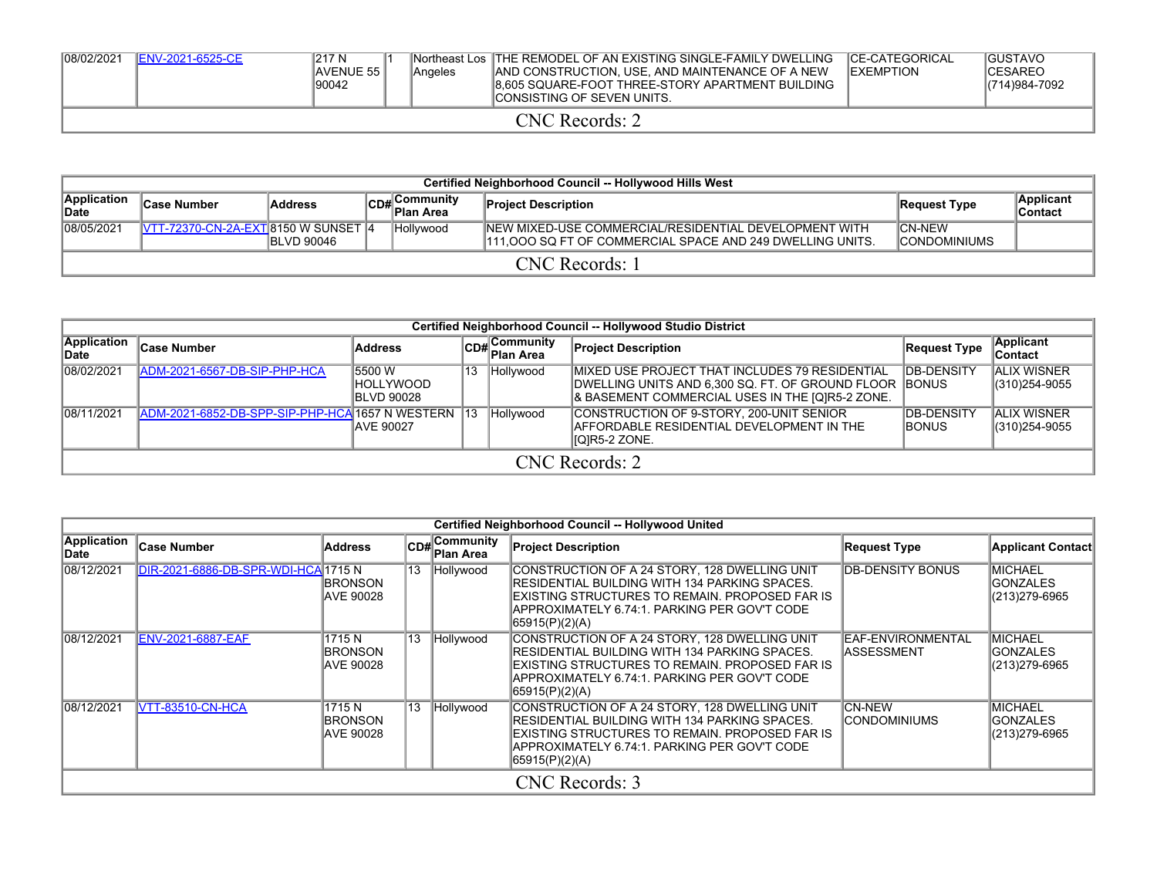| 08/02/2021 | <b>IENV-2021-6525-CE</b> | 1217 N<br>AVENUE 55<br>90042 | <b>Angeles</b> | INortheast Los ITHE REMODEL OF AN EXISTING SINGLE-FAMILY DWELLING CE-CATEGORICAL<br><b>JAND CONSTRUCTION, USE, AND MAINTENANCE OF A NEW</b><br>8.605 SQUARE-FOOT THREE-STORY APARTMENT BUILDING<br>ICONSISTING OF SEVEN UNITS. | <b>IEXEMPTION</b> | <b>IGUSTAVO</b><br><b>CESAREO</b><br>(714)984-7092 |
|------------|--------------------------|------------------------------|----------------|--------------------------------------------------------------------------------------------------------------------------------------------------------------------------------------------------------------------------------|-------------------|----------------------------------------------------|
|            |                          |                              |                | $CNC$ Records: $\hat{C}$                                                                                                                                                                                                       |                   |                                                    |

|                      | Certified Neighborhood Council -- Hollywood Hills West |                    |  |                                      |                                                                                                                     |                                        |                      |  |  |  |  |  |  |
|----------------------|--------------------------------------------------------|--------------------|--|--------------------------------------|---------------------------------------------------------------------------------------------------------------------|----------------------------------------|----------------------|--|--|--|--|--|--|
| Application<br>∥Date | <b>Case Number</b>                                     | <b>Address</b>     |  | <b>Communitv</b><br>$ICD#$ Plan Area | <b>Project Description</b>                                                                                          | Request Type                           | Applicant<br>Contact |  |  |  |  |  |  |
| 08/05/2021           | <b>IVTT-72370-CN-2A-EXT8150 W SUNSET 4</b>             | <b>IBLVD 90046</b> |  | Hollywood                            | INEW MIXED-USE COMMERCIAL/RESIDENTIAL DEVELOPMENT WITH<br>111,000 SQ FT OF COMMERCIAL SPACE AND 249 DWELLING UNITS. | <b>ICN-NEW</b><br><b>ICONDOMINIUMS</b> |                      |  |  |  |  |  |  |
| <b>CNC</b> Records:  |                                                        |                    |  |                                      |                                                                                                                     |                                        |                      |  |  |  |  |  |  |

|                      | Certified Neighborhood Council -- Hollywood Studio District |                                           |  |              |                                                                                                                                                              |                                     |                                     |                     |                             |  |  |  |  |  |
|----------------------|-------------------------------------------------------------|-------------------------------------------|--|--------------|--------------------------------------------------------------------------------------------------------------------------------------------------------------|-------------------------------------|-------------------------------------|---------------------|-----------------------------|--|--|--|--|--|
| Application<br>∥Date | <b>Case Number</b>                                          | <b>Address</b>                            |  |              | CD# Community<br>Plan Area                                                                                                                                   |                                     | <b>Project Description</b>          | <b>Request Type</b> | <b>Applicant</b><br>Contact |  |  |  |  |  |
| 08/02/2021           | ADM-2021-6567-DB-SIP-PHP-HCA                                | 5500 W<br> HOLLYWOOD<br><b>BLVD 90028</b> |  | 13 Hollywood | IMIXED USE PROJECT THAT INCLUDES 79 RESIDENTIAL<br>DWELLING UNITS AND 6,300 SQ. FT. OF GROUND FLOOR BONUS<br>& BASEMENT COMMERCIAL USES IN THE [Q]R5-2 ZONE. | <b>IDB-DENSITY</b>                  | <b>ALIX WISNER</b><br>(310)254-9055 |                     |                             |  |  |  |  |  |
| 108/11/2021          | ADM-2021-6852-DB-SPP-SIP-PHP-HCA1657 N WESTERN              | <b>JAVE 90027</b>                         |  | Hollywood    | CONSTRUCTION OF 9-STORY, 200-UNIT SENIOR<br><b>IAFFORDABLE RESIDENTIAL DEVELOPMENT IN THE</b><br>IQIR5-2 ZONE.                                               | <b>IDB-DENSITY</b><br><b>IBONUS</b> | ALIX WISNER<br>(310)254-9055        |                     |                             |  |  |  |  |  |
|                      | CNC Records: 2                                              |                                           |  |              |                                                                                                                                                              |                                     |                                     |                     |                             |  |  |  |  |  |

|                      | Certified Neighborhood Council -- Hollywood United |                                                |    |                           |                                                                                                                                                                                                                            |                                        |                                                     |  |  |  |  |  |  |
|----------------------|----------------------------------------------------|------------------------------------------------|----|---------------------------|----------------------------------------------------------------------------------------------------------------------------------------------------------------------------------------------------------------------------|----------------------------------------|-----------------------------------------------------|--|--|--|--|--|--|
| Application<br>lDate | <b>Case Number</b>                                 | <b>Address</b>                                 |    | CD#Community<br>Plan Area | <b>Project Description</b>                                                                                                                                                                                                 | <b>Request Type</b>                    | <b>Applicant Contact</b>                            |  |  |  |  |  |  |
| 08/12/2021           | DIR-2021-6886-DB-SPR-WDI-HCA 1715 N                | <b>IBRONSON</b><br><b>JAVE 90028</b>           | 13 | Hollywood                 | CONSTRUCTION OF A 24 STORY, 128 DWELLING UNIT<br><b>IRESIDENTIAL BUILDING WITH 134 PARKING SPACES.</b><br>EXISTING STRUCTURES TO REMAIN. PROPOSED FAR IS<br>APPROXIMATELY 6.74:1. PARKING PER GOV'T CODE<br>65915(P)(2)(A) | <b>DB-DENSITY BONUS</b>                | <b>MICHAEL</b><br><b>GONZALES</b><br>(213) 279-6965 |  |  |  |  |  |  |
| 08/12/2021           | <b>ENV-2021-6887-EAF</b>                           | 1715 N<br><b>IBRONSON</b><br><b>JAVE 90028</b> | 13 | Hollywood                 | CONSTRUCTION OF A 24 STORY, 128 DWELLING UNIT<br>RESIDENTIAL BUILDING WITH 134 PARKING SPACES.<br>EXISTING STRUCTURES TO REMAIN. PROPOSED FAR IS<br>APPROXIMATELY 6.74:1. PARKING PER GOV'T CODE<br> 65915(P)(2)(A)        | EAF-ENVIRONMENTAL<br><b>ASSESSMENT</b> | <b>MICHAEL</b><br><b>GONZALES</b><br>(213) 279-6965 |  |  |  |  |  |  |
| 08/12/2021           | VTT-83510-CN-HCA                                   | 1715 N<br><b>IBRONSON</b><br><b>JAVE 90028</b> | 13 | Hollywood                 | CONSTRUCTION OF A 24 STORY, 128 DWELLING UNIT<br><b>RESIDENTIAL BUILDING WITH 134 PARKING SPACES.</b><br>EXISTING STRUCTURES TO REMAIN. PROPOSED FAR IS<br>APPROXIMATELY 6.74:1. PARKING PER GOV'T CODE<br>65915(P)(2)(A)  | <b>CN-NEW</b><br><b>ICONDOMINIUMS</b>  | <b>MICHAEL</b><br><b>GONZALES</b><br>(213) 279-6965 |  |  |  |  |  |  |
|                      | <b>CNC</b> Records: 3                              |                                                |    |                           |                                                                                                                                                                                                                            |                                        |                                                     |  |  |  |  |  |  |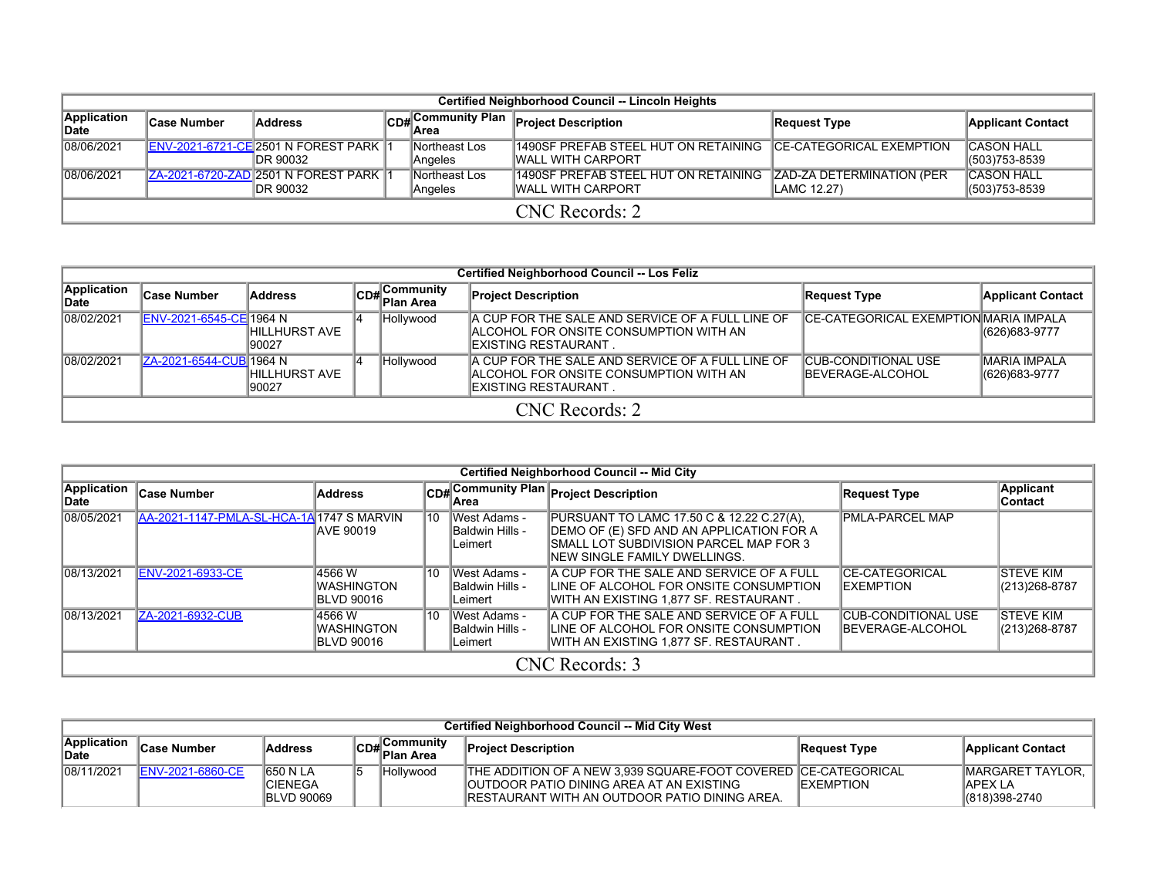|                      | <b>Certified Neighborhood Council -- Lincoln Heights</b> |                                                            |  |                          |                                                                                                   |                                                 |                                    |  |  |  |  |  |  |
|----------------------|----------------------------------------------------------|------------------------------------------------------------|--|--------------------------|---------------------------------------------------------------------------------------------------|-------------------------------------------------|------------------------------------|--|--|--|--|--|--|
| Application<br>∣Date | ∣Case Number                                             | Address                                                    |  | CD#Community Plan        | <b>Project Description</b>                                                                        | <b>Request Type</b>                             | <b>Applicant Contact</b>           |  |  |  |  |  |  |
| 08/06/2021           |                                                          | <b>IENV-2021-6721-CEI2501 N FOREST PARK 1</b><br>IDR 90032 |  | Northeast Los<br>Angeles | <b>1490SF PREFAB STEEL HUT ON RETAINING CE-CATEGORICAL EXEMPTION</b><br><b>IWALL WITH CARPORT</b> |                                                 | ICASON HALL<br>(503)753-8539       |  |  |  |  |  |  |
| 08/06/2021           |                                                          | <b>IZA-2021-6720-ZADI2501 N FOREST PARK I</b><br>IDR 90032 |  | Northeast Los<br>Angeles | 1490SF PREFAB STEEL HUT ON RETAINING<br><b>IWALL WITH CARPORT</b>                                 | <b>ZAD-ZA DETERMINATION (PER</b><br>LAMC 12.27) | <b>CASON HALL</b><br>(503)753-8539 |  |  |  |  |  |  |
| CNC Records: 2       |                                                          |                                                            |  |                          |                                                                                                   |                                                 |                                    |  |  |  |  |  |  |

|                      | Certified Neighborhood Council -- Los Feliz |                         |  |                                       |                                                                                                                        |                                                  |                                |  |  |  |  |  |  |
|----------------------|---------------------------------------------|-------------------------|--|---------------------------------------|------------------------------------------------------------------------------------------------------------------------|--------------------------------------------------|--------------------------------|--|--|--|--|--|--|
| Application<br>∣Date | ∣Case Number                                | <b>Address</b>          |  | $ CDH $ Community<br><b>Plan Area</b> | <b>Project Description</b>                                                                                             | <b>Request Type</b>                              | <b>Applicant Contact</b>       |  |  |  |  |  |  |
| 08/02/2021           | ENV-2021-6545-CE 1964 N                     | IHILLHURST AVE<br>90027 |  | Hollywood                             | IA CUP FOR THE SALE AND SERVICE OF A FULL LINE OF<br>IALCOHOL FOR ONSITE CONSUMPTION WITH AN<br>IEXISTING RESTAURANT . | ICE-CATEGORICAL EXEMPTIONIMARIA IMPALA           | (626)683-9777                  |  |  |  |  |  |  |
| 08/02/2021           | ZA-2021-6544-CUB 1964 N                     | IHILLHURST AVE<br>90027 |  | Hollywood                             | IA CUP FOR THE SALE AND SERVICE OF A FULL LINE OF<br>IALCOHOL FOR ONSITE CONSUMPTION WITH AN<br>IEXISTING RESTAURANT   | ICUB-CONDITIONAL USE<br><b>IBEVERAGE-ALCOHOL</b> | IMARIA IMPALA<br>(626)683-9777 |  |  |  |  |  |  |
| CNC Records: 2       |                                             |                         |  |                                       |                                                                                                                        |                                                  |                                |  |  |  |  |  |  |

|                      | <b>Certified Neighborhood Council -- Mid City</b> |                                                     |    |                                                    |                                                                                                                                                                   |                                            |                                     |  |  |  |  |  |  |  |
|----------------------|---------------------------------------------------|-----------------------------------------------------|----|----------------------------------------------------|-------------------------------------------------------------------------------------------------------------------------------------------------------------------|--------------------------------------------|-------------------------------------|--|--|--|--|--|--|--|
| Application<br>∣Date | <b>Case Number</b>                                | <b>Address</b>                                      |    | lArea                                              | CD# Community Plan Project Description                                                                                                                            | Request Type                               | Applicant<br><b>Contact</b>         |  |  |  |  |  |  |  |
| 08/05/2021           | AA-2021-1147-PMLA-SL-HCA-1A 1747 S MARVIN         | <b>JAVE 90019</b>                                   | 10 | West Adams -<br>Baldwin Hills -<br>lLeimert        | PURSUANT TO LAMC 17.50 C & 12.22 C.27(A),<br>DEMO OF (E) SFD AND AN APPLICATION FOR A<br>ISMALL LOT SUBDIVISION PARCEL MAP FOR 3<br>INEW SINGLE FAMILY DWELLINGS. | <b>PMLA-PARCEL MAP</b>                     |                                     |  |  |  |  |  |  |  |
| 08/13/2021           | ENV-2021-6933-CE                                  | 14566 W<br><b>IWASHINGTON</b><br><b>IBLVD 90016</b> | 10 | West Adams -<br><b>Baldwin Hills -</b><br>∣Leimert | A CUP FOR THE SALE AND SERVICE OF A FULL<br>ILINE OF ALCOHOL FOR ONSITE CONSUMPTION<br>WITH AN EXISTING 1,877 SF. RESTAURANT.                                     | <b>CE-CATEGORICAL</b><br><b>IEXEMPTION</b> | ISTEVE KIM<br>(213)268-8787         |  |  |  |  |  |  |  |
| 08/13/2021           | ZA-2021-6932-CUB                                  | 14566 W<br><b>IWASHINGTON</b><br><b>BLVD 90016</b>  | 10 | West Adams -<br>Baldwin Hills -<br>lLeimert        | IA CUP FOR THE SALE AND SERVICE OF A FULL<br>ILINE OF ALCOHOL FOR ONSITE CONSUMPTION<br>IWITH AN EXISTING 1.877 SF. RESTAURANT .                                  | ICUB-CONDITIONAL USE<br>IBEVERAGE-ALCOHOL  | <b>ISTEVE KIM</b><br>(213) 268-8787 |  |  |  |  |  |  |  |
|                      | CNC Records: 3                                    |                                                     |    |                                                    |                                                                                                                                                                   |                                            |                                     |  |  |  |  |  |  |  |

|                             | <b>Certified Neighborhood Council -- Mid City West</b> |                                                   |  |                                                    |                                                                                                                                                                              |                   |                                                          |  |  |  |  |  |  |  |
|-----------------------------|--------------------------------------------------------|---------------------------------------------------|--|----------------------------------------------------|------------------------------------------------------------------------------------------------------------------------------------------------------------------------------|-------------------|----------------------------------------------------------|--|--|--|--|--|--|--|
| Application<br><b>IDate</b> | ∣Case Number                                           | Address                                           |  | $\left \mathsf{CDH}\right $ Community<br>Plan Area | <b>Project Description</b>                                                                                                                                                   | Request Type      | <b>Applicant Contact</b>                                 |  |  |  |  |  |  |  |
| 08/11/2021                  | <b>IENV-2021-6860-CE</b>                               | <b>650 N LA</b><br>ICIENEGA<br><b>IBLVD 90069</b> |  | <b>Hollywood</b>                                   | THE ADDITION OF A NEW 3.939 SQUARE-FOOT COVERED ICE-CATEGORICAL<br><b>JOUTDOOR PATIO DINING AREA AT AN EXISTING</b><br><b>IRESTAURANT WITH AN OUTDOOR PATIO DINING AREA.</b> | <b>IEXEMPTION</b> | <b>IMARGARET TAYLOR.</b> I<br>IAPEX LA<br>(818) 398-2740 |  |  |  |  |  |  |  |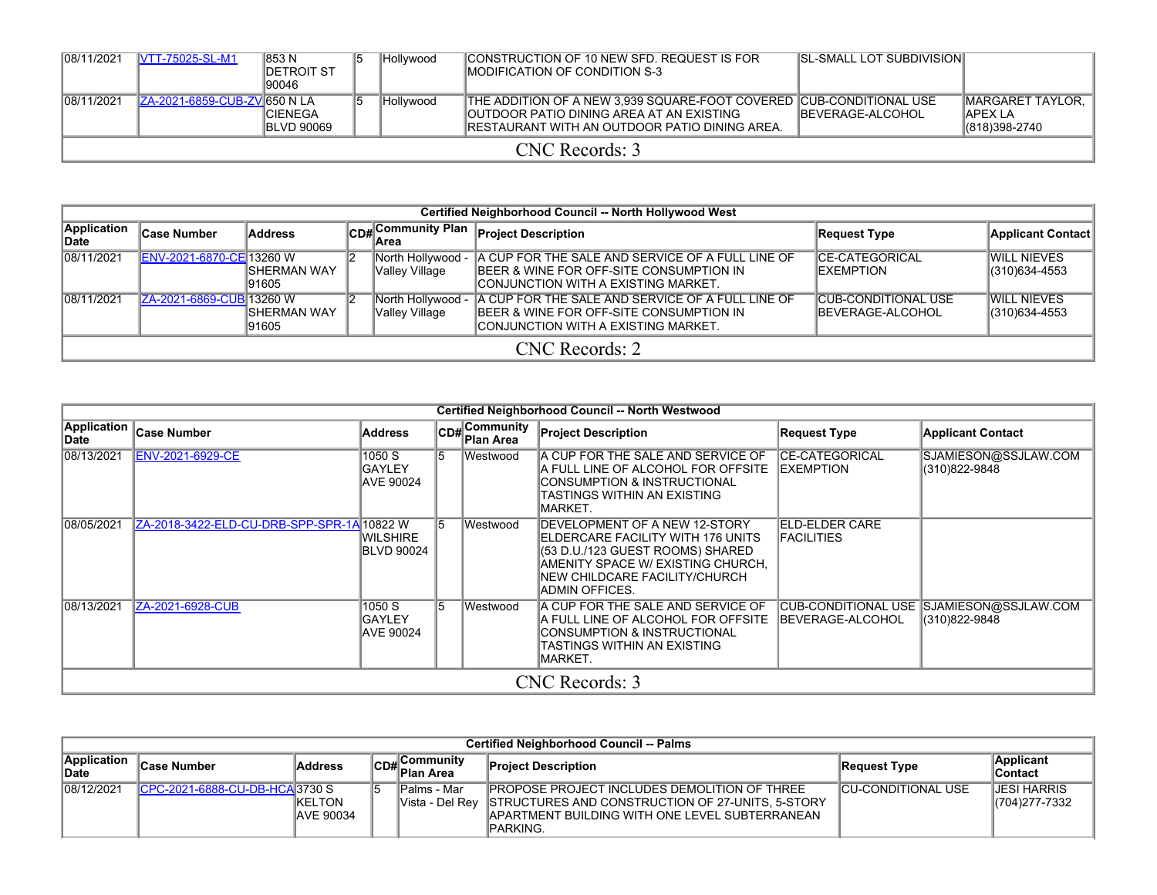| 08/11/2021  | <b>VTT-75025-SL-M1</b>               | 1853 N<br><b>IDETROIT ST</b><br>190046 |  | <b>Hollywood</b> | CONSTRUCTION OF 10 NEW SFD. REQUEST IS FOR<br><b>IMODIFICATION OF CONDITION S-3</b>                                                                                              | <b>SL-SMALL LOT SUBDIVISION</b> |                                                      |  |  |  |
|-------------|--------------------------------------|----------------------------------------|--|------------------|----------------------------------------------------------------------------------------------------------------------------------------------------------------------------------|---------------------------------|------------------------------------------------------|--|--|--|
| 108/11/2021 | <b>IZA-2021-6859-CUB-ZVI650 N LA</b> | <b>ICIENEGA</b><br><b>IBLVD 90069</b>  |  | <b>Hollywood</b> | THE ADDITION OF A NEW 3.939 SQUARE-FOOT COVERED CUB-CONDITIONAL USE<br><b>JOUTDOOR PATIO DINING AREA AT AN EXISTING</b><br><b>IRESTAURANT WITH AN OUTDOOR PATIO DINING AREA.</b> | <b>IBEVERAGE-ALCOHOL</b>        | IMARGARET TAYLOR.<br><b>APEX LA</b><br>(818)398-2740 |  |  |  |
|             | CNC Records: 3                       |                                        |  |                  |                                                                                                                                                                                  |                                 |                                                      |  |  |  |

|                     | Certified Neighborhood Council -- North Hollywood West |                       |  |                                     |                                                                                                                                                        |                                                        |                                     |  |  |  |  |  |  |
|---------------------|--------------------------------------------------------|-----------------------|--|-------------------------------------|--------------------------------------------------------------------------------------------------------------------------------------------------------|--------------------------------------------------------|-------------------------------------|--|--|--|--|--|--|
| Application<br>Date | ∣Case Number                                           | Address               |  | CD# Community Plan                  | <b>Project Description</b>                                                                                                                             | Request Type                                           | Applicant Contact                   |  |  |  |  |  |  |
| 08/11/2021          | ENV-2021-6870-CE 13260 W                               | ISHERMAN WAY<br>91605 |  | Valley Village                      | North Hollywood - A CUP FOR THE SALE AND SERVICE OF A FULL LINE OF<br>IBEER & WINE FOR OFF-SITE CONSUMPTION IN<br>ICONJUNCTION WITH A EXISTING MARKET. | <b>ICE-CATEGORICAL</b><br><b>IEXEMPTION</b>            | <b>WILL NIEVES</b><br>(310)634-4553 |  |  |  |  |  |  |
| 08/11/2021          | ZA-2021-6869-CUB 13260 W                               | ISHERMAN WAY<br>91605 |  | North Hollywood -<br>Valley Village | A CUP FOR THE SALE AND SERVICE OF A FULL LINE OF<br>BEER & WINE FOR OFF-SITE CONSUMPTION IN<br>ICONJUNCTION WITH A EXISTING MARKET.                    | <b>CUB-CONDITIONAL USE</b><br><b>IBEVERAGE-ALCOHOL</b> | <b>WILL NIEVES</b><br>(310)634-4553 |  |  |  |  |  |  |
| CNC Records: 2      |                                                        |                       |  |                                     |                                                                                                                                                        |                                                        |                                     |  |  |  |  |  |  |

|                            |                                             |                                      |    |                           | Certified Neighborhood Council -- North Westwood                                                                                                                                                 |                                             |                                                             |
|----------------------------|---------------------------------------------|--------------------------------------|----|---------------------------|--------------------------------------------------------------------------------------------------------------------------------------------------------------------------------------------------|---------------------------------------------|-------------------------------------------------------------|
| <b>Application</b><br>Date | <b>Case Number</b>                          | <b>Address</b>                       |    | CD#Community<br>Plan Area | <b>Project Description</b>                                                                                                                                                                       | <b>Request Type</b>                         | <b>Applicant Contact</b>                                    |
| 08/13/2021                 | <b>ENV-2021-6929-CE</b>                     | 1050 S<br>IGAYLEY<br>AVE 90024       | 15 | Westwood                  | A CUP FOR THE SALE AND SERVICE OF<br>IA FULL LINE OF ALCOHOL FOR OFFSITE<br>CONSUMPTION & INSTRUCTIONAL<br>TASTINGS WITHIN AN EXISTING<br>MARKET.                                                | <b>ICE-CATEGORICAL</b><br><b>IEXEMPTION</b> | SJAMIESON@SSJLAW.COM<br>(310)822-9848                       |
| 08/05/2021                 | IZA-2018-3422-ELD-CU-DRB-SPP-SPR-1A 10822 W | <b>WILSHIRE</b><br><b>BLVD 90024</b> | 15 | Westwood                  | DEVELOPMENT OF A NEW 12-STORY<br>IELDERCARE FACILITY WITH 176 UNITS<br>(53 D.U./123 GUEST ROOMS) SHARED<br>AMENITY SPACE W/ EXISTING CHURCH.<br>NEW CHILDCARE FACILITY/CHURCH<br>IADMIN OFFICES. | IELD-ELDER CARE<br><b>FACILITIES</b>        |                                                             |
| 08/13/2021                 | IZA-2021-6928-CUB                           | 1050 S<br>IGAYLEY<br>AVE 90024       | 15 | Westwood                  | A CUP FOR THE SALE AND SERVICE OF<br>A FULL LINE OF ALCOHOL FOR OFFSITE<br>CONSUMPTION & INSTRUCTIONAL<br>TASTINGS WITHIN AN EXISTING<br>MARKET.                                                 | IBEVERAGE-ALCOHOL                           | CUB-CONDITIONAL USE   SJAMIESON@SSJLAW.COM<br>(310)822-9848 |
|                            |                                             |                                      |    |                           | CNC Records: 3                                                                                                                                                                                   |                                             |                                                             |

|                             | <b>Certified Neighborhood Council -- Palms</b> |                                                                    |  |              |                                                                                                                                                                                                       |                            |                                      |  |  |  |  |  |  |
|-----------------------------|------------------------------------------------|--------------------------------------------------------------------|--|--------------|-------------------------------------------------------------------------------------------------------------------------------------------------------------------------------------------------------|----------------------------|--------------------------------------|--|--|--|--|--|--|
| <b>Application</b><br>∥Date | <b>Case Number</b>                             | ∣Communitv<br>lCD#∣ <sup>COm.</sup><br>Plan Area<br><b>Address</b> |  |              | <b>Project Description</b>                                                                                                                                                                            | Request Type               | <b>Applicant</b><br>∣Contact         |  |  |  |  |  |  |
| 08/12/2021                  | ICPC-2021-6888-CU-DB-HCAl3730 S                | <b>IKELTON</b><br><b>IAVE 90034</b>                                |  | lPalms - Mar | <b>PROPOSE PROJECT INCLUDES DEMOLITION OF THREE</b><br>Vista - Del Rey STRUCTURES AND CONSTRUCTION OF 27-UNITS, 5-STORY<br><b>IAPARTMENT BUILDING WITH ONE LEVEL SUBTERRANEAN</b><br><b>IPARKING.</b> | <b>ICU-CONDITIONAL USE</b> | <b>JESI HARRIS</b><br>(704) 277-7332 |  |  |  |  |  |  |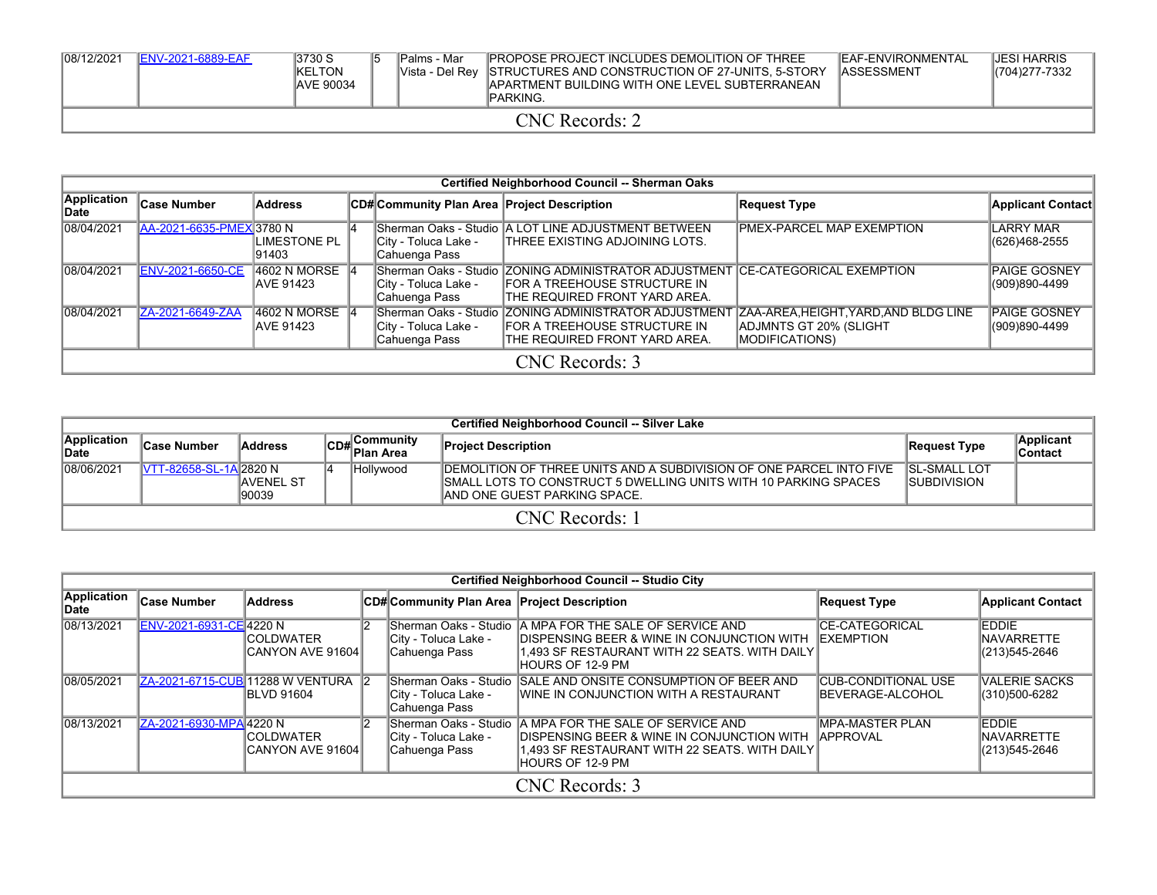| 08/12/2021 | <b>IENV-2021-6889-EAF</b> | 13730 S<br><b>IKELTON</b><br><b>AVE 90034</b> | IPalms - Mar | <b>PROPOSE PROJECT INCLUDES DEMOLITION OF THREE</b><br>Vista - Del Rey STRUCTURES AND CONSTRUCTION OF 27-UNITS, 5-STORY<br><b>IAPARTMENT BUILDING WITH ONE LEVEL SUBTERRANEAN</b><br>IPARKING. | <b>IEAF-ENVIRONMENTAL</b><br><b>IASSESSMENT</b> | IJESI HARRIS<br>(704) 277-7332 |
|------------|---------------------------|-----------------------------------------------|--------------|------------------------------------------------------------------------------------------------------------------------------------------------------------------------------------------------|-------------------------------------------------|--------------------------------|
|            |                           |                                               |              | CNC Records: 2                                                                                                                                                                                 |                                                 |                                |

|                      | Certified Neighborhood Council -- Sherman Oaks |                                    |  |                                             |                                                                                                                                                                  |                                                                                       |                                      |  |  |  |  |  |  |
|----------------------|------------------------------------------------|------------------------------------|--|---------------------------------------------|------------------------------------------------------------------------------------------------------------------------------------------------------------------|---------------------------------------------------------------------------------------|--------------------------------------|--|--|--|--|--|--|
| Application<br>∣Date | <b>Case Number</b>                             | <b>Address</b>                     |  | CD# Community Plan Area Project Description |                                                                                                                                                                  | Request Type                                                                          | <b>Applicant Contact</b>             |  |  |  |  |  |  |
| 08/04/2021           | AA-2021-6635-PMEX 3780 N                       | LIMESTONE PL<br>191403             |  | City - Toluca Lake -<br>Cahuenga Pass       | Sherman Oaks - Studio A LOT LINE ADJUSTMENT BETWEEN<br><b>ITHREE EXISTING ADJOINING LOTS.</b>                                                                    | <b>PMEX-PARCEL MAP EXEMPTION</b>                                                      | <b>LARRY MAR</b><br>(626)468-2555    |  |  |  |  |  |  |
| 08/04/2021           | ENV-2021-6650-CE                               | 4602 N MORSE 4<br><b>AVE 91423</b> |  | City - Toluca Lake -<br>Cahuenga Pass       | Sherman Oaks - Studio ZONING ADMINISTRATOR ADJUSTMENT ICE-CATEGORICAL EXEMPTION<br><b>IFOR A TREEHOUSE STRUCTURE IN</b><br><b>ITHE REQUIRED FRONT YARD AREA.</b> |                                                                                       | <b>PAIGE GOSNEY</b><br>(909)890-4499 |  |  |  |  |  |  |
| 08/04/2021           | ZA-2021-6649-ZAA                               | 4602 N MORSE 4<br><b>AVE 91423</b> |  | City - Toluca Lake -<br>Cahuenga Pass       | Sherman Oaks - Studio ZONING ADMINISTRATOR ADJUSTMENT<br><b>IFOR A TREEHOUSE STRUCTURE IN</b><br><b>THE REQUIRED FRONT YARD AREA.</b>                            | <b>ZAA-AREA,HEIGHT,YARD,AND BLDG LINE</b><br>ADJMNTS GT 20% (SLIGHT<br>MODIFICATIONS) | <b>PAIGE GOSNEY</b><br>(909)890-4499 |  |  |  |  |  |  |
|                      | CNC Records: 3                                 |                                    |  |                                             |                                                                                                                                                                  |                                                                                       |                                      |  |  |  |  |  |  |

|                      | <b>Certified Neighborhood Council -- Silver Lake</b> |                             |  |                                                  |                                                                                                                                                                          |                                            |                             |  |  |  |  |  |  |
|----------------------|------------------------------------------------------|-----------------------------|--|--------------------------------------------------|--------------------------------------------------------------------------------------------------------------------------------------------------------------------------|--------------------------------------------|-----------------------------|--|--|--|--|--|--|
| Application<br>∥Date | <b>Case Number</b>                                   | <b>Address</b>              |  | ∥Community<br>lCD#∣ <sup>COm.</sup><br>Plan Area | <b>Project Description</b>                                                                                                                                               | ∣Request Type                              | Applicant<br><b>Contact</b> |  |  |  |  |  |  |
| 08/06/2021           | <b>NTT-82658-SL-1A 2820 N</b>                        | <b>IAVENEL ST</b><br>190039 |  | Hollywood                                        | IDEMOLITION OF THREE UNITS AND A SUBDIVISION OF ONE PARCEL INTO FIVE<br>SMALL LOTS TO CONSTRUCT 5 DWELLING UNITS WITH 10 PARKING SPACES<br>IAND ONE GUEST PARKING SPACE. | <b>SL-SMALL LOT</b><br><b>ISUBDIVISION</b> |                             |  |  |  |  |  |  |
|                      | CNC Records: 1                                       |                             |  |                                                  |                                                                                                                                                                          |                                            |                             |  |  |  |  |  |  |

|                      | Certified Neighborhood Council -- Studio City |                                                  |     |                                             |                                                                                                                                                                            |                                                 |                                                     |  |  |  |  |  |
|----------------------|-----------------------------------------------|--------------------------------------------------|-----|---------------------------------------------|----------------------------------------------------------------------------------------------------------------------------------------------------------------------------|-------------------------------------------------|-----------------------------------------------------|--|--|--|--|--|
| Application<br>lDate | <b>Case Number</b>                            | <b>Address</b>                                   |     | CD# Community Plan Area Project Description |                                                                                                                                                                            | Request Type                                    | <b>Applicant Contact</b>                            |  |  |  |  |  |
| 08/13/2021           | ENV-2021-6931-CE 4220 N                       | <b>ICOLDWATER</b><br> CANYON AVE 91604           | 12  | City - Toluca Lake -<br>Cahuenga Pass       | Sherman Oaks - Studio A MPA FOR THE SALE OF SERVICE AND<br>DISPENSING BEER & WINE IN CONJUNCTION WITH<br>1.493 SF RESTAURANT WITH 22 SEATS. WITH DAILY<br>HOURS OF 12-9 PM | <b>CE-CATEGORICAL</b><br><b>IEXEMPTION</b>      | <b>EDDIE</b><br>INAVARRETTE<br>(213)545-2646        |  |  |  |  |  |
| 08/05/2021           |                                               | ZA-2021-6715-CUB 11288 W VENTURA 2<br>BLVD 91604 |     | City - Toluca Lake -<br>Cahuenga Pass       | Sherman Oaks - Studio SALE AND ONSITE CONSUMPTION OF BEER AND<br>WINE IN CONJUNCTION WITH A RESTAURANT                                                                     | <b>CUB-CONDITIONAL USE</b><br>IBEVERAGE-ALCOHOL | VALERIE SACKS<br>(310)500-6282                      |  |  |  |  |  |
| 08/13/2021           | ZA-2021-6930-MPA 4220 N                       | ICOLDWATER<br>CANYON AVE 91604                   | 12. | City - Toluca Lake -<br>Cahuenga Pass       | Sherman Oaks - Studio A MPA FOR THE SALE OF SERVICE AND<br>DISPENSING BEER & WINE IN CONJUNCTION WITH<br>1,493 SF RESTAURANT WITH 22 SEATS. WITH DAILY<br>HOURS OF 12-9 PM | <b>MPA-MASTER PLAN</b><br><b>IAPPROVAL</b>      | <b>EDDIE</b><br><b>INAVARRETTE</b><br>(213)545-2646 |  |  |  |  |  |
|                      | CNC Records: 3                                |                                                  |     |                                             |                                                                                                                                                                            |                                                 |                                                     |  |  |  |  |  |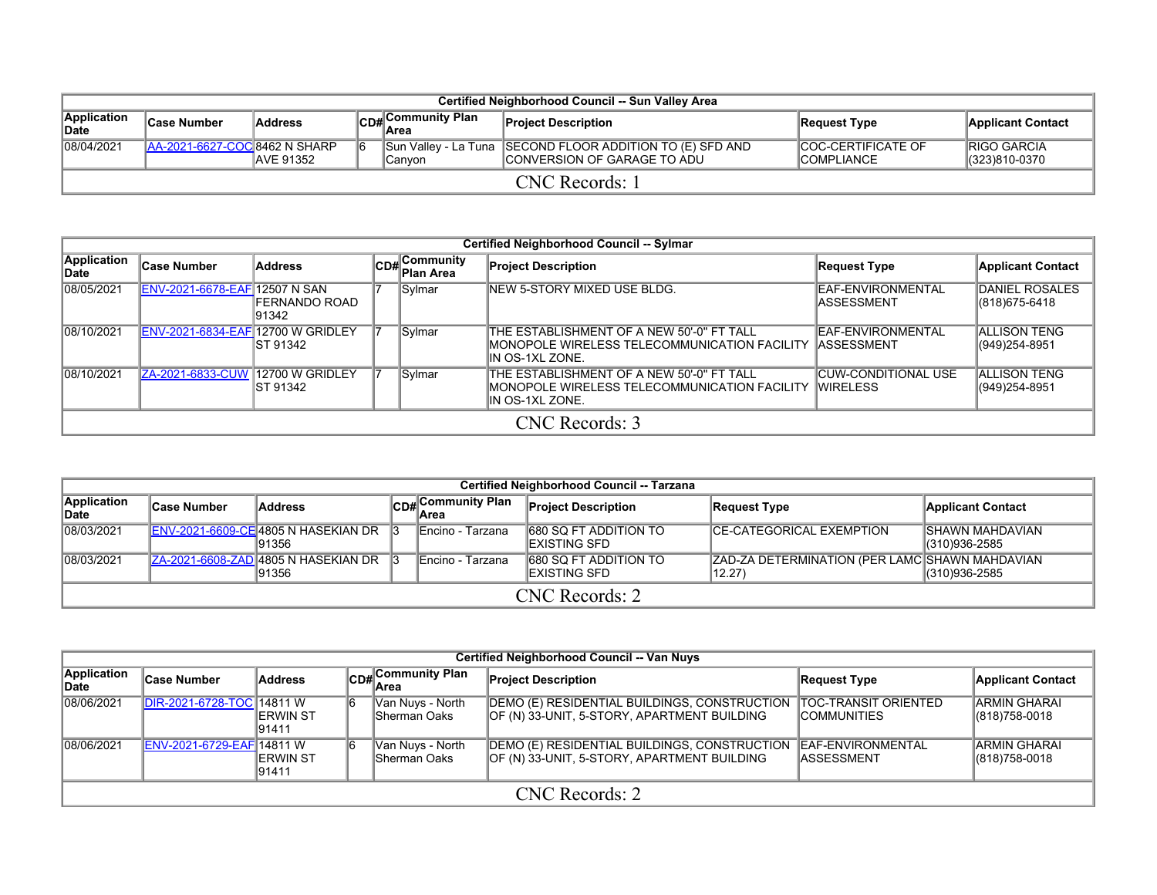|                      | Certified Neighborhood Council -- Sun Valley Area |                  |  |                   |                                                                                          |                                           |                               |  |  |  |  |  |  |
|----------------------|---------------------------------------------------|------------------|--|-------------------|------------------------------------------------------------------------------------------|-------------------------------------------|-------------------------------|--|--|--|--|--|--|
| Application<br>∣Date | ∣Case Number                                      | Address          |  | CD#Community Plan | <b>Project Description</b>                                                               | Request Type                              | <b>Applicant Contact</b>      |  |  |  |  |  |  |
| 08/04/2021           | <b>JAA-2021-6627-COC 8462 N SHARP</b>             | <b>AVE 91352</b> |  | Canvon            | Sun Valley - La Tuna SECOND FLOOR ADDITION TO (E) SFD AND<br>CONVERSION OF GARAGE TO ADU | <b>ICOC-CERTIFICATE OF</b><br>ICOMPLIANCE | IRIGO GARCIA<br>(323)810-0370 |  |  |  |  |  |  |
| CNC Records: 1       |                                                   |                  |  |                   |                                                                                          |                                           |                               |  |  |  |  |  |  |

|                      | Certified Neighborhood Council -- Sylmar |                                          |  |        |                                                                                                                |                                                 |                                         |  |  |  |  |  |
|----------------------|------------------------------------------|------------------------------------------|--|--------|----------------------------------------------------------------------------------------------------------------|-------------------------------------------------|-----------------------------------------|--|--|--|--|--|
| Application<br>lDate | <b>Case Number</b>                       | $ CD#$ Community<br>Address<br>Plan Area |  |        | <b>Project Description</b>                                                                                     | <b>Request Type</b>                             | <b>Applicant Contact</b>                |  |  |  |  |  |
| 08/05/2021           | ENV-2021-6678-EAF 12507 N SAN            | IFERNANDO ROAD<br>91342                  |  | Sylmar | NEW 5-STORY MIXED USE BLDG.                                                                                    | EAF-ENVIRONMENTAL<br><b>ASSESSMENT</b>          | <b>DANIEL ROSALES</b><br>(818) 675-6418 |  |  |  |  |  |
| 08/10/2021           | <b>ENV-2021-6834-EAF 12700 W GRIDLEY</b> | <b>IST 91342</b>                         |  | Sylmar | THE ESTABLISHMENT OF A NEW 50'-0" FT TALL<br>IMONOPOLE WIRELESS TELECOMMUNICATION FACILITY<br>IIN OS-1XL ZONE. | <b>IEAF-ENVIRONMENTAL</b><br><b>IASSESSMENT</b> | IALLISON TENG<br>(949)254-8951          |  |  |  |  |  |
| 08/10/2021           | ZA-2021-6833-CUW                         | 12700 W GRIDLEY<br><b>IST 91342</b>      |  | Sylmar | THE ESTABLISHMENT OF A NEW 50'-0" FT TALL<br>IMONOPOLE WIRELESS TELECOMMUNICATION FACILITY<br>IIN OS-1XL ZONE. | <b>CUW-CONDITIONAL USE</b><br><b>IWIRELESS</b>  | <b>ALLISON TENG</b><br>(949)254-8951    |  |  |  |  |  |
| CNC Records: 3       |                                          |                                          |  |        |                                                                                                                |                                                 |                                         |  |  |  |  |  |

|                      | Certified Neighborhood Council -- Tarzana |                                                      |               |                                   |                                                      |                                                                |                                          |  |  |  |  |  |
|----------------------|-------------------------------------------|------------------------------------------------------|---------------|-----------------------------------|------------------------------------------------------|----------------------------------------------------------------|------------------------------------------|--|--|--|--|--|
| Application<br>∣Date | ∣Case Number                              | Address                                              |               | CD# Community Plan<br><b>Area</b> | <b>Project Description</b>                           | Request Type                                                   | <b>Applicant Contact</b>                 |  |  |  |  |  |
| 08/03/2021           |                                           | <b>ENV-2021-6609-CE 4805 N HASEKIAN DR</b><br>191356 | 13            | Encino - Tarzana                  | <b>680 SQ FT ADDITION TO</b><br><b>IEXISTING SFD</b> | <b>CE-CATEGORICAL EXEMPTION</b>                                | <b>ISHAWN MAHDAVIAN</b><br>(310)936-2585 |  |  |  |  |  |
| 08/03/2021           |                                           | ZA-2021-6608-ZAD 4805 N HASEKIAN DR<br>191356        | $\mathbb{I}3$ | IEncino - Tarzana                 | <b>680 SQ FT ADDITION TO</b><br><b>IEXISTING SFD</b> | <b>ZAD-ZA DETERMINATION (PER LAMC SHAWN MAHDAVIAN</b><br>12.27 | (310)936-2585                            |  |  |  |  |  |
| CNC Records: 2       |                                           |                                                      |               |                                   |                                                      |                                                                |                                          |  |  |  |  |  |

|                      | Certified Neighborhood Council -- Van Nuys |                            |  |                                   |                                                                                             |                                                    |                                |  |  |  |  |  |  |
|----------------------|--------------------------------------------|----------------------------|--|-----------------------------------|---------------------------------------------------------------------------------------------|----------------------------------------------------|--------------------------------|--|--|--|--|--|--|
| Application<br>∣Date | <b>Case Number</b>                         | <b>Address</b>             |  | CD#Community Plan                 | <b>Project Description</b>                                                                  | <b>Request Type</b>                                | <b>Applicant Contact</b>       |  |  |  |  |  |  |
| 08/06/2021           | DIR-2021-6728-TOC 14811 W                  | <b>IERWIN ST</b><br>191411 |  | Van Nuys - North<br>lSherman Oaks | DEMO (E) RESIDENTIAL BUILDINGS, CONSTRUCTION<br>OF (N) 33-UNIT, 5-STORY, APARTMENT BUILDING | <b>TOC-TRANSIT ORIENTED</b><br><b>ICOMMUNITIES</b> | ARMIN GHARAI<br>(818)758-0018  |  |  |  |  |  |  |
| 08/06/2021           | ENV-2021-6729-EAF 14811 W                  | <b>IERWIN ST</b><br>191411 |  | Van Nuys - North<br>lSherman Oaks | DEMO (E) RESIDENTIAL BUILDINGS, CONSTRUCTION<br>OF (N) 33-UNIT, 5-STORY, APARTMENT BUILDING | <b>IEAF-ENVIRONMENTAL</b><br><b>ASSESSMENT</b>     | IARMIN GHARAI<br>(818)758-0018 |  |  |  |  |  |  |
|                      | CNC Records: 2                             |                            |  |                                   |                                                                                             |                                                    |                                |  |  |  |  |  |  |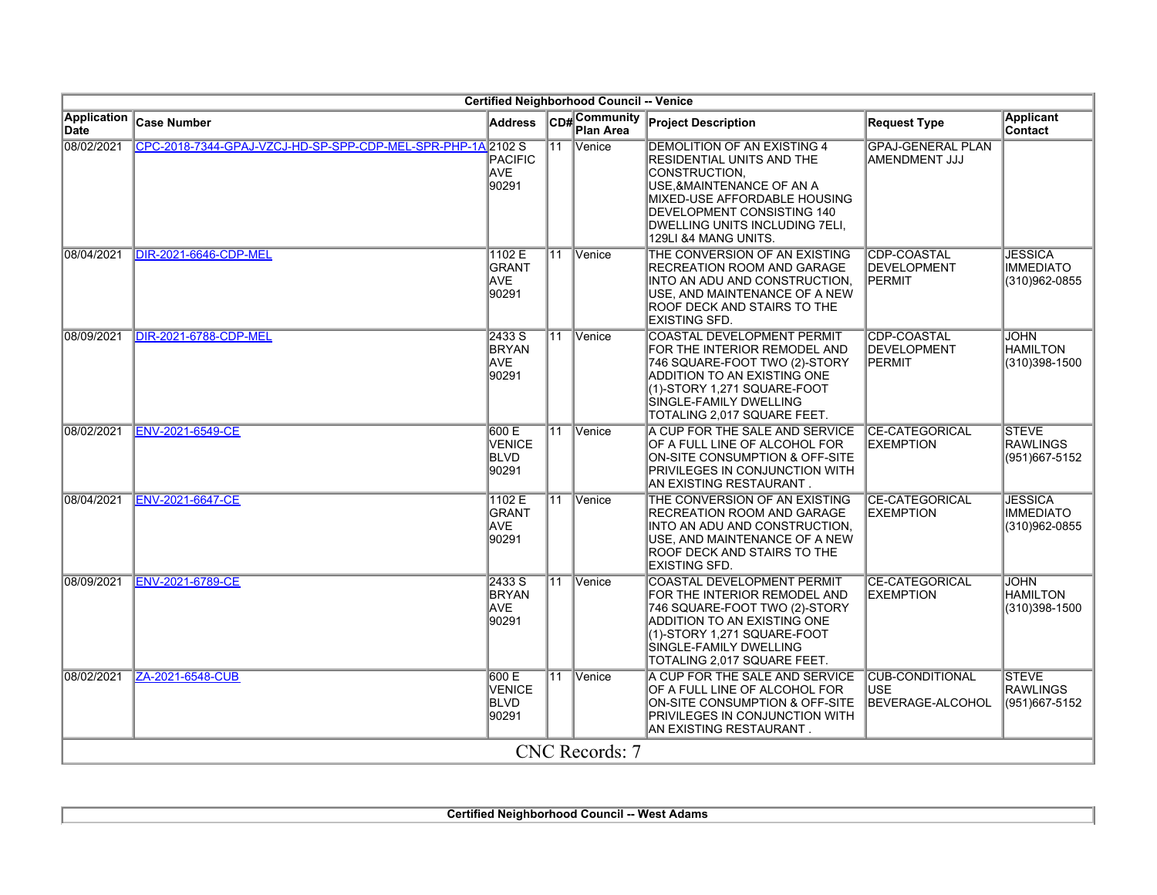|                                   |                                                             |                                                |    | <b>Certified Neighborhood Council -- Venice</b> |                                                                                                                                                                                                                                        |                                                                 |                                                     |
|-----------------------------------|-------------------------------------------------------------|------------------------------------------------|----|-------------------------------------------------|----------------------------------------------------------------------------------------------------------------------------------------------------------------------------------------------------------------------------------------|-----------------------------------------------------------------|-----------------------------------------------------|
| <b>Application</b><br><b>Date</b> | <b>Case Number</b>                                          | <b>Address</b>                                 |    | CD#Community<br><b>Plan Area</b>                | <b>Project Description</b>                                                                                                                                                                                                             | <b>Request Type</b>                                             | <b>Applicant</b><br>Contact                         |
| 08/02/2021                        | CPC-2018-7344-GPAJ-VZCJ-HD-SP-SPP-CDP-MEL-SPR-PHP-1A 2102 S | <b>PACIFIC</b><br><b>AVE</b><br>90291          | 11 | <b>Venice</b>                                   | <b>DEMOLITION OF AN EXISTING 4</b><br>RESIDENTIAL UNITS AND THE<br>CONSTRUCTION,<br>USE, & MAINTENANCE OF AN A<br>MIXED-USE AFFORDABLE HOUSING<br>DEVELOPMENT CONSISTING 140<br>DWELLING UNITS INCLUDING 7ELI,<br>129LI &4 MANG UNITS. | <b>GPAJ-GENERAL PLAN</b><br>AMENDMENT JJJ                       |                                                     |
| 08/04/2021                        | <b>DIR-2021-6646-CDP-MEL</b>                                | 1102 E<br><b>GRANT</b><br>AVE<br>90291         | 11 | <b>Venice</b>                                   | THE CONVERSION OF AN EXISTING<br>RECREATION ROOM AND GARAGE<br>INTO AN ADU AND CONSTRUCTION,<br>USE, AND MAINTENANCE OF A NEW<br>ROOF DECK AND STAIRS TO THE<br><b>EXISTING SFD.</b>                                                   | CDP-COASTAL<br><b>DEVELOPMENT</b><br><b>PERMIT</b>              | <b>JESSICA</b><br><b>IMMEDIATO</b><br>(310)962-0855 |
| 08/09/2021                        | DIR-2021-6788-CDP-MEL                                       | 2433 S<br>BRYAN<br>AVE.<br>90291               |    | 11 Venice                                       | <b>COASTAL DEVELOPMENT PERMIT</b><br>FOR THE INTERIOR REMODEL AND<br>746 SQUARE-FOOT TWO (2)-STORY<br>ADDITION TO AN EXISTING ONE<br>(1)-STORY 1,271 SQUARE-FOOT<br>SINGLE-FAMILY DWELLING<br>TOTALING 2,017 SQUARE FEET.              | <b>CDP-COASTAL</b><br><b>DEVELOPMENT</b><br>PERMIT              | <b>JOHN</b><br><b>HAMILTON</b><br>(310)398-1500     |
| 08/02/2021                        | ENV-2021-6549-CE                                            | 600 E<br>VENICE<br><b>BLVD</b><br>90291        | 11 | <b>Venice</b>                                   | A CUP FOR THE SALE AND SERVICE<br>OF A FULL LINE OF ALCOHOL FOR<br>ON-SITE CONSUMPTION & OFF-SITE<br>PRIVILEGES IN CONJUNCTION WITH<br>AN EXISTING RESTAURANT .                                                                        | <b>CE-CATEGORICAL</b><br><b>EXEMPTION</b>                       | <b>STEVE</b><br><b>RAWLINGS</b><br>(951)667-5152    |
| 08/04/2021                        | ENV-2021-6647-CE                                            | 1102 E<br><b>GRANT</b><br><b>AVE</b><br>90291  | 11 | <b>Venice</b>                                   | THE CONVERSION OF AN EXISTING<br>RECREATION ROOM AND GARAGE<br>INTO AN ADU AND CONSTRUCTION.<br>USE, AND MAINTENANCE OF A NEW<br>ROOF DECK AND STAIRS TO THE<br><b>EXISTING SFD.</b>                                                   | <b>CE-CATEGORICAL</b><br><b>EXEMPTION</b>                       | <b>JESSICA</b><br><b>IMMEDIATO</b><br>(310)962-0855 |
| 08/09/2021                        | ENV-2021-6789-CE                                            | 2433 S<br><b>BRYAN</b><br>AVE<br>90291         | 11 | Venice                                          | <b>COASTAL DEVELOPMENT PERMIT</b><br>FOR THE INTERIOR REMODEL AND<br>746 SQUARE-FOOT TWO (2)-STORY<br>ADDITION TO AN EXISTING ONE<br>(1)-STORY 1,271 SQUARE-FOOT<br>SINGLE-FAMILY DWELLING<br>TOTALING 2.017 SQUARE FEET.              | <b>CE-CATEGORICAL</b><br><b>EXEMPTION</b>                       | <b>JOHN</b><br>HAMILTON<br>(310)398-1500            |
| 08/02/2021                        | ZA-2021-6548-CUB                                            | 600 E<br><b>VENICE</b><br><b>BLVD</b><br>90291 |    | 11 Venice                                       | A CUP FOR THE SALE AND SERVICE<br>OF A FULL LINE OF ALCOHOL FOR<br>ON-SITE CONSUMPTION & OFF-SITE<br>PRIVILEGES IN CONJUNCTION WITH<br>AN EXISTING RESTAURANT.                                                                         | <b>CUB-CONDITIONAL</b><br><b>USE</b><br><b>BEVERAGE-ALCOHOL</b> | <b>STEVE</b><br><b>RAWLINGS</b><br>(951)667-5152    |
|                                   |                                                             |                                                |    | CNC Records: 7                                  |                                                                                                                                                                                                                                        |                                                                 |                                                     |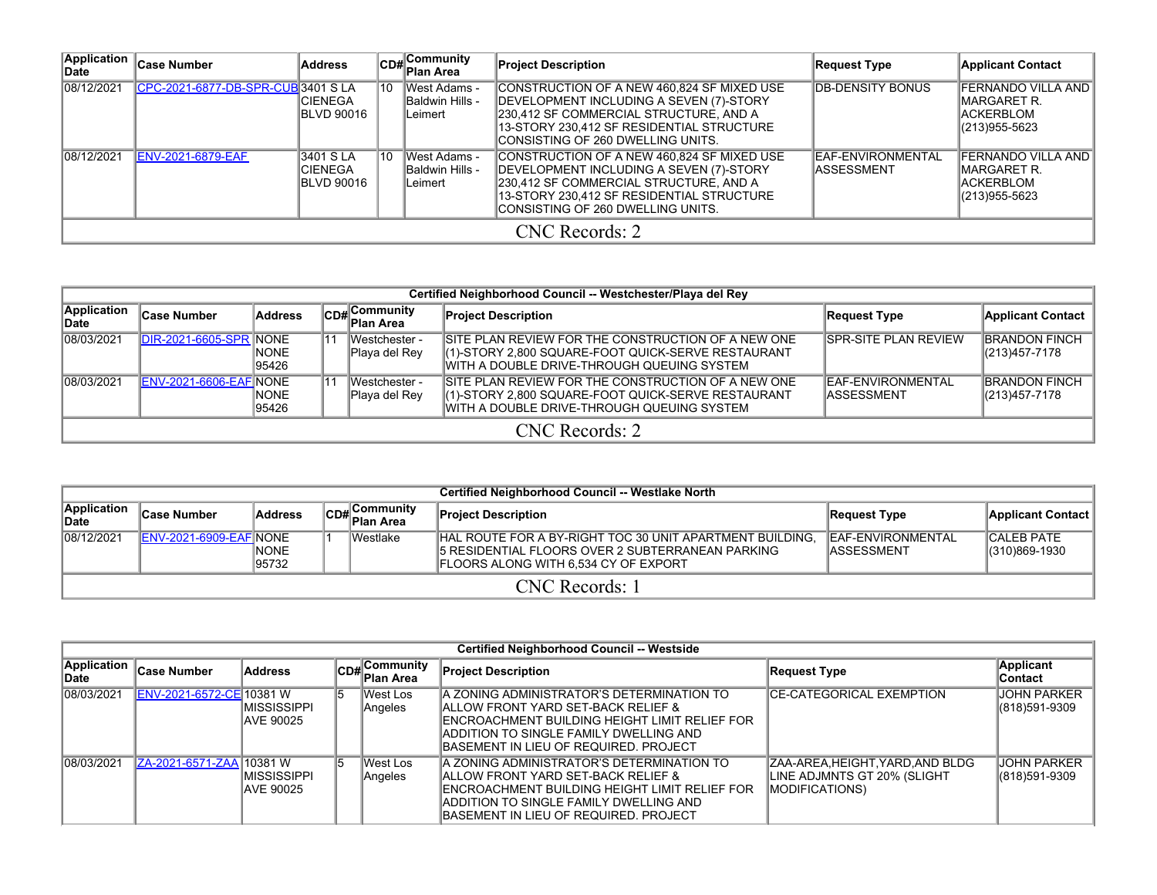| Application<br>lDate | ∣Case Number                      | Address                                            |    | CD# Community<br>Plan Area                                | <b>Project Description</b>                                                                                                                                                                                         | Request Type                      | <b>Applicant Contact</b>                                                       |  |  |  |  |  |
|----------------------|-----------------------------------|----------------------------------------------------|----|-----------------------------------------------------------|--------------------------------------------------------------------------------------------------------------------------------------------------------------------------------------------------------------------|-----------------------------------|--------------------------------------------------------------------------------|--|--|--|--|--|
| 08/12/2021           | CPC-2021-6877-DB-SPR-CUB 3401 SLA | <b>ICIENEGA</b><br><b>IBLVD 90016</b>              | 10 | West Adams -<br><b>Baldwin Hills -</b><br>Leimert         | CONSTRUCTION OF A NEW 460,824 SF MIXED USE<br>DEVELOPMENT INCLUDING A SEVEN (7)-STORY<br>230,412 SF COMMERCIAL STRUCTURE, AND A<br>13-STORY 230,412 SF RESIDENTIAL STRUCTURE<br>ICONSISTING OF 260 DWELLING UNITS. | <b>IDB-DENSITY BONUS</b>          | <b>FERNANDO VILLA AND</b><br>IMARGARET R.<br><b>ACKERBLOM</b><br>(213)955-5623 |  |  |  |  |  |
| 08/12/2021           | <b>ENV-2021-6879-EAF</b>          | 3401 S LA<br><b>ICIENEGA</b><br><b>IBLVD 90016</b> | 10 | <b>IWest Adams -</b><br><b>Baldwin Hills -</b><br>Leimert | CONSTRUCTION OF A NEW 460,824 SF MIXED USE<br>DEVELOPMENT INCLUDING A SEVEN (7)-STORY<br>230,412 SF COMMERCIAL STRUCTURE, AND A<br>13-STORY 230,412 SF RESIDENTIAL STRUCTURE<br>ICONSISTING OF 260 DWELLING UNITS. | IEAF-ENVIRONMENTAL<br>IASSESSMENT | FERNANDO VILLA AND   <br>IMARGARET R.<br><b>ACKERBLOM</b><br>(213)955-5623     |  |  |  |  |  |
|                      | CNC Records: 2                    |                                                    |    |                                                           |                                                                                                                                                                                                                    |                                   |                                                                                |  |  |  |  |  |

|                      | Certified Neighborhood Council -- Westchester/Playa del Rey |                       |  |                                        |                                                                                                                                                          |                                                |                                       |  |  |  |
|----------------------|-------------------------------------------------------------|-----------------------|--|----------------------------------------|----------------------------------------------------------------------------------------------------------------------------------------------------------|------------------------------------------------|---------------------------------------|--|--|--|
| Application<br>∥Date | Case Number                                                 | Address               |  | CD# Community<br>Plan Area             | <b>Project Description</b>                                                                                                                               | <b>Request Type</b>                            | Applicant Contact                     |  |  |  |
| 08/03/2021           | <b>DIR-2021-6605-SPR NONE</b>                               | <b>INONE</b><br>95426 |  | <b>IWestchester</b> -<br>Playa del Rey | ISITE PLAN REVIEW FOR THE CONSTRUCTION OF A NEW ONE<br>(1)-STORY 2,800 SQUARE-FOOT QUICK-SERVE RESTAURANT<br>IWITH A DOUBLE DRIVE-THROUGH QUEUING SYSTEM | <b>SPR-SITE PLAN REVIEW</b>                    | <b>BRANDON FINCH</b><br>(213)457-7178 |  |  |  |
| 08/03/2021           | <b>ENV-2021-6606-EAF NONE</b>                               | <b>INONE</b><br>95426 |  | Nestchester -<br>Playa del Rey         | SITE PLAN REVIEW FOR THE CONSTRUCTION OF A NEW ONE<br>(1)-STORY 2,800 SQUARE-FOOT QUICK-SERVE RESTAURANT<br>WITH A DOUBLE DRIVE-THROUGH QUEUING SYSTEM   | <b>EAF-ENVIRONMENTAL</b><br><b>IASSESSMENT</b> | <b>BRANDON FINCH</b><br>(213)457-7178 |  |  |  |
| CNC Records: 2       |                                                             |                       |  |                                        |                                                                                                                                                          |                                                |                                       |  |  |  |

|                      | Certified Neighborhood Council -- Westlake North |                       |  |                                           |                                                                                                                                                             |                                                 |                                     |  |
|----------------------|--------------------------------------------------|-----------------------|--|-------------------------------------------|-------------------------------------------------------------------------------------------------------------------------------------------------------------|-------------------------------------------------|-------------------------------------|--|
| Application<br>∥Date | <b>Case Number</b>                               | <b>Address</b>        |  | ,∥Community<br>$\overline{CDH}$ Plan Area | <b>Project Description</b>                                                                                                                                  | Request Type                                    | <b>Applicant Contact</b>            |  |
| 08/12/2021           | <b>IENV-2021-6909-EAFINONE</b>                   | <b>INONE</b><br>95732 |  | Westlake                                  | HAL ROUTE FOR A BY-RIGHT TOC 30 UNIT APARTMENT BUILDING.<br><b>5 RESIDENTIAL FLOORS OVER 2 SUBTERRANEAN PARKING</b><br>FLOORS ALONG WITH 6,534 CY OF EXPORT | <b>IEAF-ENVIRONMENTAL</b><br><b>IASSESSMENT</b> | <b>ICALEB PATE</b><br>(310)869-1930 |  |
| CNC Records: 1       |                                                  |                       |  |                                           |                                                                                                                                                             |                                                 |                                     |  |

|                      | <b>Certified Neighborhood Council -- Westside</b> |                                        |    |                            |                                                                                                                                                                                                                                |                                                                                |                                     |  |  |
|----------------------|---------------------------------------------------|----------------------------------------|----|----------------------------|--------------------------------------------------------------------------------------------------------------------------------------------------------------------------------------------------------------------------------|--------------------------------------------------------------------------------|-------------------------------------|--|--|
| Application<br>lDate | <b>Case Number</b>                                | <b>Address</b>                         |    | CD# Community<br>Plan Area | <b>Project Description</b>                                                                                                                                                                                                     | <b>Request Type</b>                                                            | <b>Applicant</b><br>∣Contact        |  |  |
| 08/03/2021           | ENV-2021-6572-CE 10381 W                          | <b>MISSISSIPPI</b><br><b>AVE 90025</b> | 15 | West Los<br><b>Angeles</b> | A ZONING ADMINISTRATOR'S DETERMINATION TO<br>IALLOW FRONT YARD SET-BACK RELIEF &<br>IENCROACHMENT BUILDING HEIGHT LIMIT RELIEF FOR<br>IADDITION TO SINGLE FAMILY DWELLING AND<br><b>IBASEMENT IN LIEU OF REQUIRED. PROJECT</b> | ICE-CATEGORICAL EXEMPTION                                                      | <b>JOHN PARKER</b><br>(818)591-9309 |  |  |
| 08/03/2021           | ZA-2021-6571-ZAA 10381 W                          | <b>MISSISSIPPI</b><br><b>AVE 90025</b> | 15 | lWest Los<br>Angeles       | A ZONING ADMINISTRATOR'S DETERMINATION TO<br>IALLOW FRONT YARD SET-BACK RELIEF &<br>ENCROACHMENT BUILDING HEIGHT LIMIT RELIEF FOR<br>ADDITION TO SINGLE FAMILY DWELLING AND<br><b>IBASEMENT IN LIEU OF REQUIRED. PROJECT</b>   | ZAA-AREA.HEIGHT.YARD.AND BLDG<br>LINE ADJMNTS GT 20% (SLIGHT<br>MODIFICATIONS) | <b>JOHN PARKER</b><br>(818)591-9309 |  |  |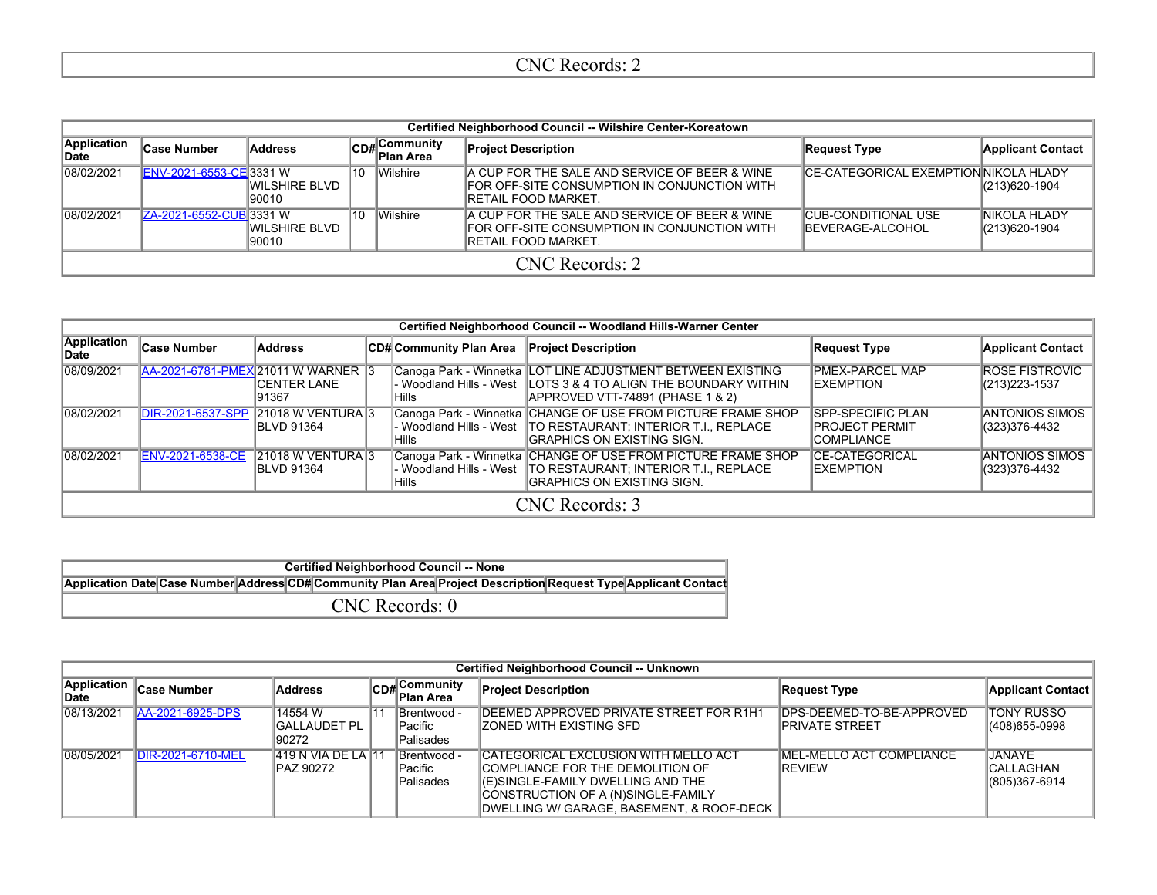|                      | Certified Neighborhood Council -- Wilshire Center-Koreatown |                                 |     |                                   |                                                                                                                               |                                                  |                                 |  |  |
|----------------------|-------------------------------------------------------------|---------------------------------|-----|-----------------------------------|-------------------------------------------------------------------------------------------------------------------------------|--------------------------------------------------|---------------------------------|--|--|
| Application<br>lDate | <b>Case Number</b>                                          | Address                         |     | <b>CD#</b> Community<br>Plan Area | <b>Project Description</b>                                                                                                    | <b>Request Type</b>                              | <b>Applicant Contact</b>        |  |  |
| 08/02/2021           | ENV-2021-6553-CE 3331 W                                     | <b>IWILSHIRE BLVD</b><br>190010 | 10  | <b>Wilshire</b>                   | IA CUP FOR THE SALE AND SERVICE OF BEER & WINE<br>FOR OFF-SITE CONSUMPTION IN CONJUNCTION WITH<br><b>IRETAIL FOOD MARKET.</b> | <b>CE-CATEGORICAL EXEMPTION NIKOLA HLADY</b>     | (213) 620-1904                  |  |  |
| 08/02/2021           | ZA-2021-6552-CUB 3331 W                                     | <b>IWILSHIRE BLVD</b><br>190010 | 110 | <b>Wilshire</b>                   | A CUP FOR THE SALE AND SERVICE OF BEER & WINE<br>FOR OFF-SITE CONSUMPTION IN CONJUNCTION WITH<br><b>IRETAIL FOOD MARKET.</b>  | ICUB-CONDITIONAL USE<br><b>IBEVERAGE-ALCOHOL</b> | INIKOLA HLADY<br>(213) 620-1904 |  |  |
| CNC Records: 2       |                                                             |                                 |     |                                   |                                                                                                                               |                                                  |                                 |  |  |

|                      | Certified Neighborhood Council -- Woodland Hills-Warner Center |                                          |  |                                             |                                                                                                                                                                       |                                                                           |                                         |  |  |  |
|----------------------|----------------------------------------------------------------|------------------------------------------|--|---------------------------------------------|-----------------------------------------------------------------------------------------------------------------------------------------------------------------------|---------------------------------------------------------------------------|-----------------------------------------|--|--|--|
| Application<br>∣Date | <b>Case Number</b>                                             | <b>Address</b>                           |  | CD# Community Plan Area Project Description |                                                                                                                                                                       | <b>Request Type</b>                                                       | <b>Applicant Contact</b>                |  |  |  |
| 08/09/2021           | AA-2021-6781-PMEX 21011 W WARNER 3                             | ICENTER LANE<br>191367                   |  | IHills                                      | Canoga Park - Winnetka LOT LINE ADJUSTMENT BETWEEN EXISTING<br>- Woodland Hills - West   LOTS 3 & 4 TO ALIGN THE BOUNDARY WITHIN<br>APPROVED VTT-74891 (PHASE 1 & 2)  | <b>PMEX-PARCEL MAP</b><br><b>IEXEMPTION</b>                               | <b>ROSE FISTROVIC</b><br>(213) 223-1537 |  |  |  |
| 08/02/2021           | DIR-2021-6537-SPP 21018 W VENTURA 3                            | <b>BLVD 91364</b>                        |  | lHills l                                    | Canoga Park - Winnetka CHANGE OF USE FROM PICTURE FRAME SHOP<br>- Woodland Hills - West TO RESTAURANT; INTERIOR T.I., REPLACE<br>IGRAPHICS ON EXISTING SIGN.          | <b>ISPP-SPECIFIC PLAN</b><br><b>IPROJECT PERMIT</b><br><b>ICOMPLIANCE</b> | <b>ANTONIOS SIMOS</b><br>(323)376-4432  |  |  |  |
| 08/02/2021           | ENV-2021-6538-CE                                               | $21018$ W VENTURA 3<br><b>BLVD 91364</b> |  | lHills l                                    | Canoga Park - Winnetka CHANGE OF USE FROM PICTURE FRAME SHOP<br>- Woodland Hills - West   TO RESTAURANT; INTERIOR T.I., REPLACE<br><b>IGRAPHICS ON EXISTING SIGN.</b> | <b>CE-CATEGORICAL</b><br><b>IEXEMPTION</b>                                | <b>ANTONIOS SIMOS</b><br>(323)376-4432  |  |  |  |
|                      | CNC Records: 3                                                 |                                          |  |                                             |                                                                                                                                                                       |                                                                           |                                         |  |  |  |

| <b>Certified Neighborhood Council -- None</b> |                                                                                                                 |  |  |  |  |  |
|-----------------------------------------------|-----------------------------------------------------------------------------------------------------------------|--|--|--|--|--|
|                                               | Application Date Case Number Address CD# Community Plan Area Project Description Request Type Applicant Contact |  |  |  |  |  |
| CNC Records: 0                                |                                                                                                                 |  |  |  |  |  |

|                             | <b>Certified Neighborhood Council -- Unknown</b> |                                        |  |                                               |                                                                                                                                                                                                           |                                              |                                       |  |  |
|-----------------------------|--------------------------------------------------|----------------------------------------|--|-----------------------------------------------|-----------------------------------------------------------------------------------------------------------------------------------------------------------------------------------------------------------|----------------------------------------------|---------------------------------------|--|--|
| Application<br><b>IDate</b> | ∣Case Number                                     | Address                                |  | CD# Community                                 | <b>Project Description</b>                                                                                                                                                                                | Request Type                                 | Applicant Contact                     |  |  |
| 08/13/2021                  | AA-2021-6925-DPS                                 | 14554 W<br>IGALLAUDET PL<br>90272      |  | <b>IBrentwood -</b><br>lPacific<br> Palisades | DEEMED APPROVED PRIVATE STREET FOR R1H1<br>IZONED WITH EXISTING SFD                                                                                                                                       | DPS-DEEMED-TO-BE-APPROVED<br>IPRIVATE STREET | <b>TONY RUSSO</b><br>(408) 655-0998   |  |  |
| 08/05/2021                  | <b>IDIR-2021-6710-MEL</b>                        | <b>419 N VIA DE LA 11</b><br>PAZ 90272 |  | Brentwood -<br>lPacific<br> Palisades         | CATEGORICAL EXCLUSION WITH MELLO ACT<br><b>COMPLIANCE FOR THE DEMOLITION OF</b><br>l(E)SINGLE-FAMILY DWELLING AND THE<br>CONSTRUCTION OF A (N)SINGLE-FAMILY<br>IDWELLING W/ GARAGE. BASEMENT. & ROOF-DECK | MEL-MELLO ACT COMPLIANCE<br><b>REVIEW</b>    | JANAYE<br>ICALLAGHAN<br>(805)367-6914 |  |  |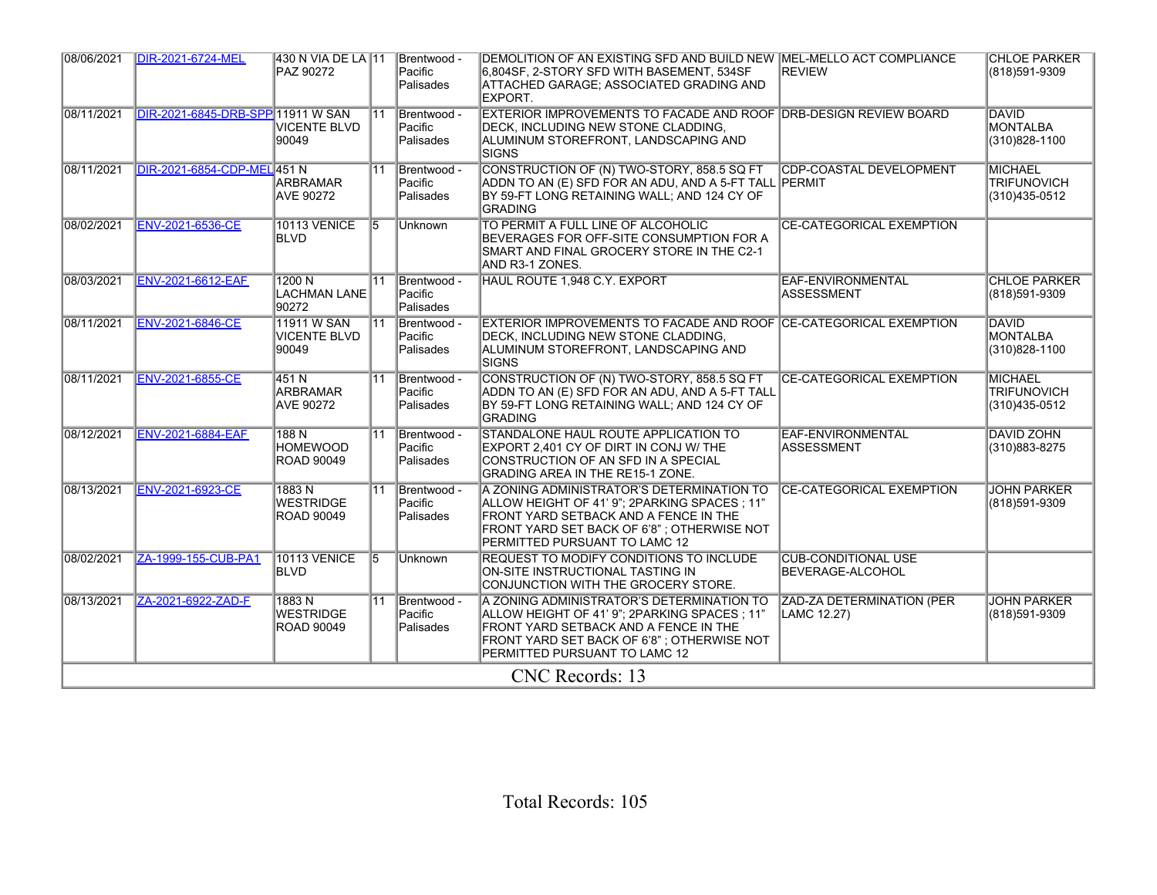| 08/06/2021 | <b>DIR-2021-6724-MEL</b>          | 430 N VIA DE LA 11<br>PAZ 90272                 |                 | Brentwood -<br>Pacific<br>Palisades | DEMOLITION OF AN EXISTING SFD AND BUILD NEW MEL-MELLO ACT COMPLIANCE<br>6,804SF, 2-STORY SFD WITH BASEMENT, 534SF<br>ATTACHED GARAGE; ASSOCIATED GRADING AND<br>EXPORT.                                            | <b>REVIEW</b>                                   | <b>CHLOE PARKER</b><br>(818)591-9309                  |  |
|------------|-----------------------------------|-------------------------------------------------|-----------------|-------------------------------------|--------------------------------------------------------------------------------------------------------------------------------------------------------------------------------------------------------------------|-------------------------------------------------|-------------------------------------------------------|--|
| 08/11/2021 | DIR-2021-6845-DRB-SPP 11911 W SAN | <b>VICENTE BLVD</b><br>90049                    | $\overline{11}$ | Brentwood -<br>Pacific<br>Palisades | EXTERIOR IMPROVEMENTS TO FACADE AND ROOF DRB-DESIGN REVIEW BOARD<br>DECK, INCLUDING NEW STONE CLADDING,<br>ALUMINUM STOREFRONT. LANDSCAPING AND<br><b>SIGNS</b>                                                    |                                                 | <b>DAVID</b><br><b>MONTALBA</b><br>(310)828-1100      |  |
| 08/11/2021 | DIR-2021-6854-CDP-MEL 451 N       | <b>ARBRAMAR</b><br><b>AVE 90272</b>             | 11              | Brentwood -<br>Pacific<br>Palisades | CONSTRUCTION OF (N) TWO-STORY, 858.5 SQ FT<br>ADDN TO AN (E) SFD FOR AN ADU, AND A 5-FT TALL PERMIT<br>BY 59-FT LONG RETAINING WALL: AND 124 CY OF<br><b>GRADING</b>                                               | <b>CDP-COASTAL DEVELOPMENT</b>                  | <b>MICHAEL</b><br><b>TRIFUNOVICH</b><br>(310)435-0512 |  |
| 08/02/2021 | <b>ENV-2021-6536-CE</b>           | <b>10113 VENICE</b><br><b>BLVD</b>              | 5               | <b>Unknown</b>                      | TO PERMIT A FULL LINE OF ALCOHOLIC<br>BEVERAGES FOR OFF-SITE CONSUMPTION FOR A<br>SMART AND FINAL GROCERY STORE IN THE C2-1<br>AND R3-1 ZONES.                                                                     | <b>CE-CATEGORICAL EXEMPTION</b>                 |                                                       |  |
| 08/03/2021 | <b>ENV-2021-6612-EAF</b>          | 1200 N<br><b>LACHMAN LANE</b><br>90272          | 11              | Brentwood -<br>Pacific<br>Palisades | HAUL ROUTE 1,948 C.Y. EXPORT                                                                                                                                                                                       | EAF-ENVIRONMENTAL<br><b>ASSESSMENT</b>          | <b>CHLOE PARKER</b><br>(818)591-9309                  |  |
| 08/11/2021 | <b>ENV-2021-6846-CE</b>           | 11911 W SAN<br><b>VICENTE BLVD</b><br>90049     | $\overline{11}$ | Brentwood -<br>Pacific<br>Palisades | EXTERIOR IMPROVEMENTS TO FACADE AND ROOF CE-CATEGORICAL EXEMPTION<br>DECK, INCLUDING NEW STONE CLADDING,<br>ALUMINUM STOREFRONT, LANDSCAPING AND<br><b>SIGNS</b>                                                   |                                                 | <b>DAVID</b><br><b>MONTALBA</b><br>(310)828-1100      |  |
| 08/11/2021 | <b>ENV-2021-6855-CE</b>           | 451N<br><b>ARBRAMAR</b><br><b>AVE 90272</b>     | 11              | Brentwood -<br>Pacific<br>Palisades | CONSTRUCTION OF (N) TWO-STORY, 858.5 SQ FT<br>ADDN TO AN (E) SFD FOR AN ADU, AND A 5-FT TALL<br>BY 59-FT LONG RETAINING WALL: AND 124 CY OF<br>GRADING                                                             | <b>CE-CATEGORICAL EXEMPTION</b>                 | <b>MICHAEL</b><br><b>TRIFUNOVICH</b><br>(310)435-0512 |  |
| 08/12/2021 | <b>ENV-2021-6884-EAF</b>          | 188 N<br><b>HOMEWOOD</b><br><b>ROAD 90049</b>   | 11              | Brentwood -<br>Pacific<br>Palisades | STANDALONE HAUL ROUTE APPLICATION TO<br>EXPORT 2.401 CY OF DIRT IN CONJ W/ THE<br>CONSTRUCTION OF AN SFD IN A SPECIAL<br><b>GRADING AREA IN THE RE15-1 ZONE.</b>                                                   | EAF-ENVIRONMENTAL<br><b>ASSESSMENT</b>          | <b>DAVID ZOHN</b><br>(310)883-8275                    |  |
| 08/13/2021 | <b>ENV-2021-6923-CE</b>           | 1883 N<br><b>WESTRIDGE</b><br><b>ROAD 90049</b> | $\overline{11}$ | Brentwood -<br>Pacific<br>Palisades | A ZONING ADMINISTRATOR'S DETERMINATION TO<br>ALLOW HEIGHT OF 41' 9": 2PARKING SPACES : 11"<br>FRONT YARD SETBACK AND A FENCE IN THE<br>FRONT YARD SET BACK OF 6'8"; OTHERWISE NOT<br>PERMITTED PURSUANT TO LAMC 12 | <b>CE-CATEGORICAL EXEMPTION</b>                 | <b>JOHN PARKER</b><br>(818)591-9309                   |  |
| 08/02/2021 | ZA-1999-155-CUB-PA1               | <b>10113 VENICE</b><br><b>BLVD</b>              | 15              | Unknown                             | <b>REQUEST TO MODIFY CONDITIONS TO INCLUDE</b><br>ON-SITE INSTRUCTIONAL TASTING IN<br>CONJUNCTION WITH THE GROCERY STORE.                                                                                          | <b>CUB-CONDITIONAL USE</b><br>BEVERAGE-ALCOHOL  |                                                       |  |
| 08/13/2021 | ZA-2021-6922-ZAD-F                | 1883 N<br><b>WESTRIDGE</b><br><b>ROAD 90049</b> | $\overline{11}$ | Brentwood -<br>Pacific<br>Palisades | A ZONING ADMINISTRATOR'S DETERMINATION TO<br>ALLOW HEIGHT OF 41' 9": 2PARKING SPACES : 11"<br>FRONT YARD SETBACK AND A FENCE IN THE<br>FRONT YARD SET BACK OF 6'8"; OTHERWISE NOT<br>PERMITTED PURSUANT TO LAMC 12 | <b>ZAD-ZA DETERMINATION (PER</b><br>LAMC 12.27) | <b>JOHN PARKER</b><br>(818)591-9309                   |  |
|            | CNC Records: 13                   |                                                 |                 |                                     |                                                                                                                                                                                                                    |                                                 |                                                       |  |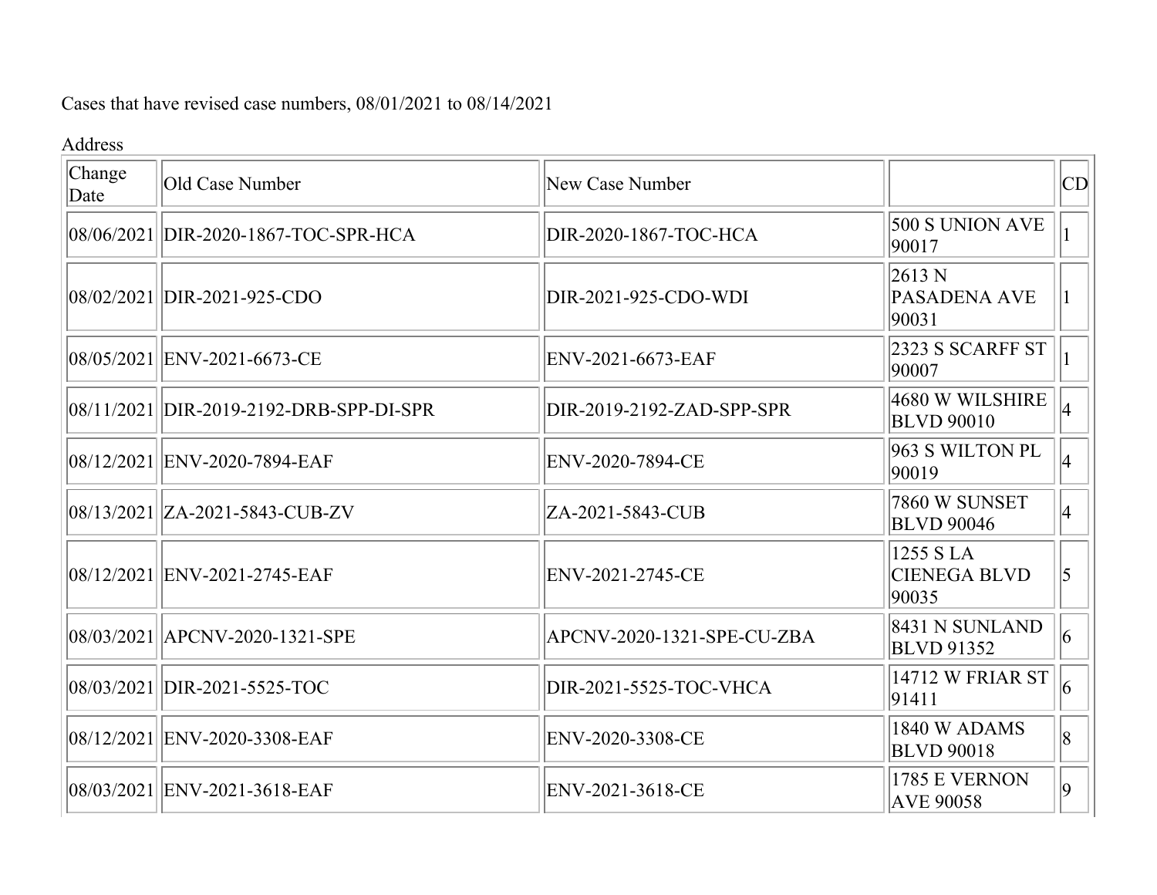## Cases that have revised case numbers, 08/01/2021 to 08/14/2021

## Address

| Change<br>Date | Old Case Number                         | New Case Number             |                                           | CD             |
|----------------|-----------------------------------------|-----------------------------|-------------------------------------------|----------------|
|                | 08/06/2021 DIR-2020-1867-TOC-SPR-HCA    | DIR-2020-1867-TOC-HCA       | 500 S UNION AVE<br>90017                  |                |
|                | 08/02/2021 DIR-2021-925-CDO             | DIR-2021-925-CDO-WDI        | 2613 N<br>PASADENA AVE<br>90031           |                |
|                | 08/05/2021 ENV-2021-6673-CE             | ENV-2021-6673-EAF           | 2323 S SCARFF ST<br>90007                 |                |
|                | 08/11/2021 DIR-2019-2192-DRB-SPP-DI-SPR | $DIR-2019-2192-ZAD-SPP-SPR$ | 4680 W WILSHIRE<br><b>BLVD 90010</b>      |                |
|                | 08/12/2021 ENV-2020-7894-EAF            | ENV-2020-7894-CE            | 963 S WILTON PL<br>90019                  |                |
|                | 08/13/2021 ZA-2021-5843-CUB-ZV          | ZA-2021-5843-CUB            | 7860 W SUNSET<br><b>BLVD 90046</b>        | 4              |
|                | 08/12/2021 ENV-2021-2745-EAF            | ENV-2021-2745-CE            | 1255 S LA<br><b>CIENEGA BLVD</b><br>90035 | 5              |
|                | 08/03/2021   APCNV-2020-1321-SPE        | APCNV-2020-1321-SPE-CU-ZBA  | 8431 N SUNLAND<br><b>BLVD</b> 91352       | $\overline{6}$ |
|                | 08/03/2021 DIR-2021-5525-TOC            | DIR-2021-5525-TOC-VHCA      | 14712 W FRIAR ST<br>91411                 | 6              |
|                | 08/12/2021 ENV-2020-3308-EAF            | ENV-2020-3308-CE            | 1840 W ADAMS<br><b>BLVD 90018</b>         | 8              |
|                | 08/03/2021 ENV-2021-3618-EAF            | ENV-2021-3618-CE            | 1785 E VERNON<br><b>AVE 90058</b>         | 9              |